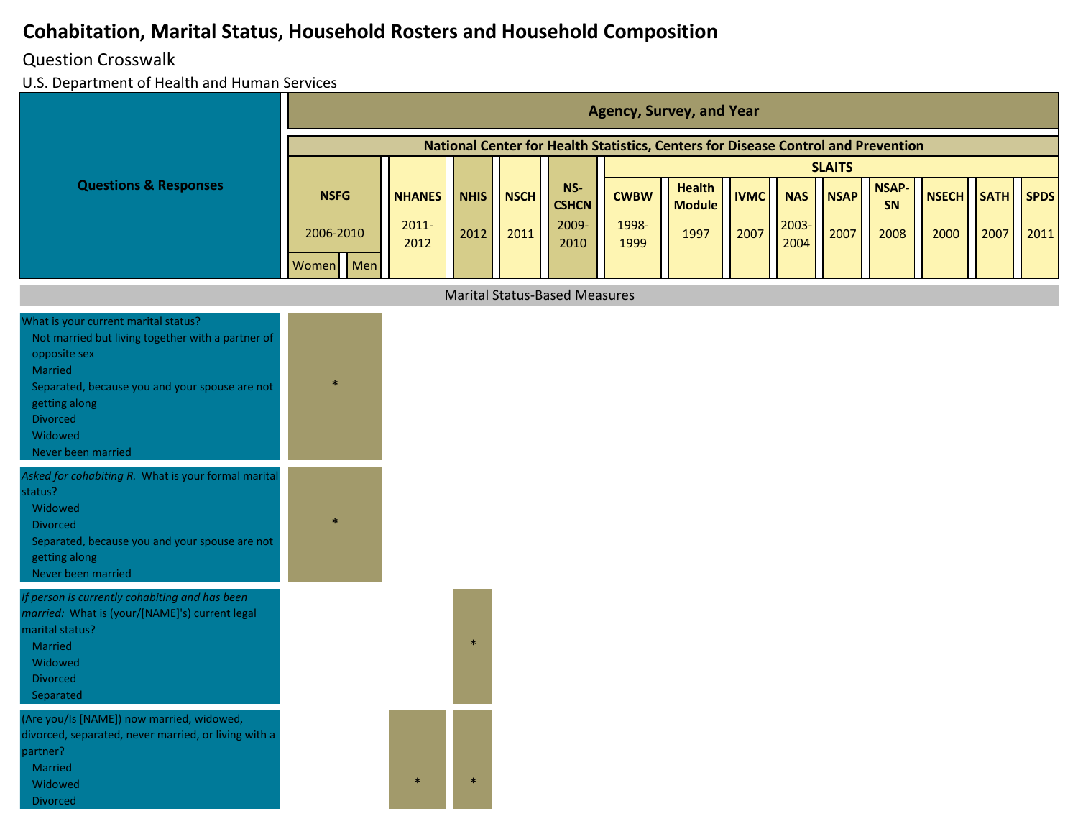#### Question Crosswalk

|                                                                                                                                                                                                                                             |              |               |             |             |                                      |             | <b>Agency, Survey, and Year</b>                                                   |             |            |               |                    |              |             |             |
|---------------------------------------------------------------------------------------------------------------------------------------------------------------------------------------------------------------------------------------------|--------------|---------------|-------------|-------------|--------------------------------------|-------------|-----------------------------------------------------------------------------------|-------------|------------|---------------|--------------------|--------------|-------------|-------------|
|                                                                                                                                                                                                                                             |              |               |             |             |                                      |             | National Center for Health Statistics, Centers for Disease Control and Prevention |             |            |               |                    |              |             |             |
|                                                                                                                                                                                                                                             |              |               |             |             |                                      |             |                                                                                   |             |            | <b>SLAITS</b> |                    |              |             |             |
| <b>Questions &amp; Responses</b>                                                                                                                                                                                                            | <b>NSFG</b>  | <b>NHANES</b> | <b>NHIS</b> | <b>NSCH</b> | NS-<br><b>CSHCN</b>                  | <b>CWBW</b> | <b>Health</b><br><b>Module</b>                                                    | <b>IVMC</b> | <b>NAS</b> | <b>NSAP</b>   | <b>NSAP-</b><br>SN | <b>NSECH</b> | <b>SATH</b> | <b>SPDS</b> |
|                                                                                                                                                                                                                                             | 2006-2010    | $2011 -$      | 2012        | 2011        | 2009-                                | 1998-       | 1997                                                                              | 2007        | 2003-      | 2007          | 2008               | 2000         | 2007        | 2011        |
|                                                                                                                                                                                                                                             | Men<br>Women | 2012          |             |             | 2010                                 | 1999        |                                                                                   |             | 2004       |               |                    |              |             |             |
|                                                                                                                                                                                                                                             |              |               |             |             | <b>Marital Status-Based Measures</b> |             |                                                                                   |             |            |               |                    |              |             |             |
|                                                                                                                                                                                                                                             |              |               |             |             |                                      |             |                                                                                   |             |            |               |                    |              |             |             |
| What is your current marital status?<br>Not married but living together with a partner of<br>opposite sex<br>Married<br>Separated, because you and your spouse are not<br>getting along<br><b>Divorced</b><br>Widowed<br>Never been married | $\ast$       |               |             |             |                                      |             |                                                                                   |             |            |               |                    |              |             |             |
| Asked for cohabiting R. What is your formal marital<br>status?<br>Widowed<br><b>Divorced</b><br>Separated, because you and your spouse are not<br>getting along<br>Never been married                                                       | $\ast$       |               |             |             |                                      |             |                                                                                   |             |            |               |                    |              |             |             |
| If person is currently cohabiting and has been<br>married: What is (your/[NAME]'s) current legal<br>marital status?<br>Married<br>Widowed<br><b>Divorced</b><br>Separated                                                                   |              |               | $\ast$      |             |                                      |             |                                                                                   |             |            |               |                    |              |             |             |
| (Are you/Is [NAME]) now married, widowed,<br>divorced, separated, never married, or living with a<br>partner?<br>Married<br>Widowed<br><b>Divorced</b>                                                                                      |              | $\ast$        | $\ast$      |             |                                      |             |                                                                                   |             |            |               |                    |              |             |             |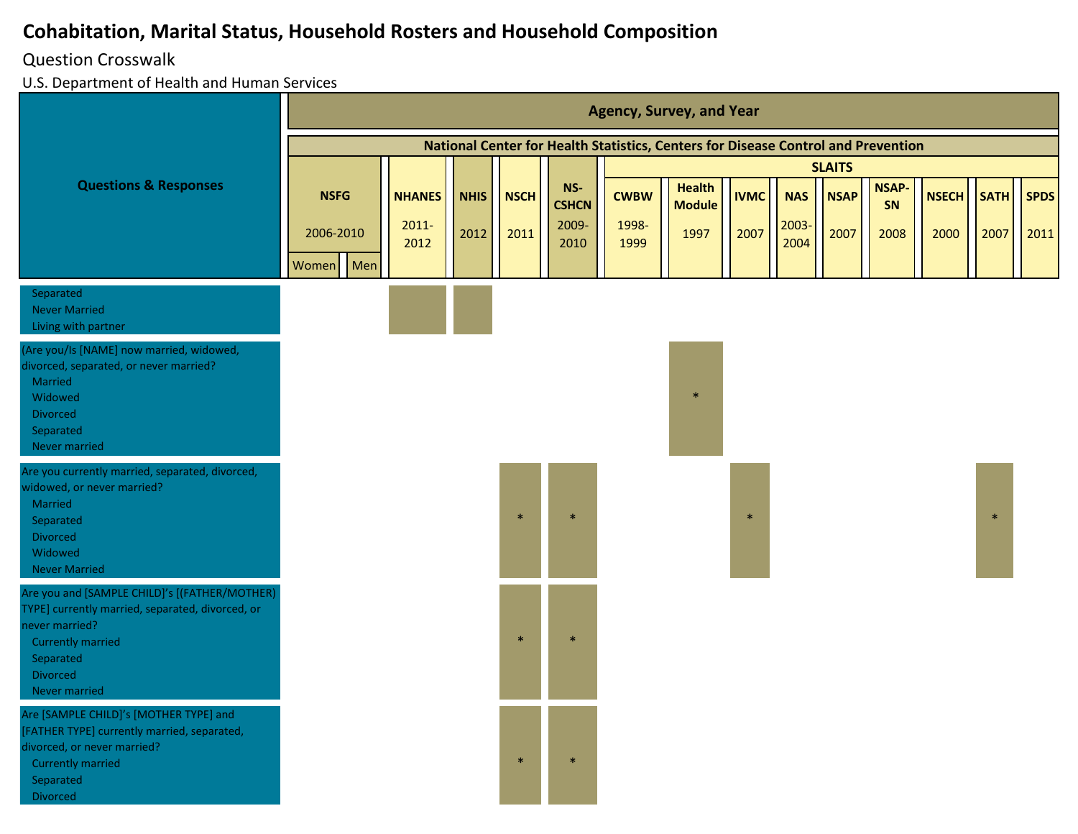#### Question Crosswalk

|                                                                                                                                                                                                  |                                         |                                   |                     |                     |                                      |                              | <b>Agency, Survey, and Year</b>                                                   |                     |                             |                     |                            |                      |                     |                     |
|--------------------------------------------------------------------------------------------------------------------------------------------------------------------------------------------------|-----------------------------------------|-----------------------------------|---------------------|---------------------|--------------------------------------|------------------------------|-----------------------------------------------------------------------------------|---------------------|-----------------------------|---------------------|----------------------------|----------------------|---------------------|---------------------|
|                                                                                                                                                                                                  |                                         |                                   |                     |                     |                                      |                              | National Center for Health Statistics, Centers for Disease Control and Prevention |                     |                             |                     |                            |                      |                     |                     |
|                                                                                                                                                                                                  |                                         |                                   |                     |                     |                                      |                              |                                                                                   |                     |                             | <b>SLAITS</b>       |                            |                      |                     |                     |
| <b>Questions &amp; Responses</b>                                                                                                                                                                 | <b>NSFG</b><br>2006-2010<br>Women   Men | <b>NHANES</b><br>$2011 -$<br>2012 | <b>NHIS</b><br>2012 | <b>NSCH</b><br>2011 | NS-<br><b>CSHCN</b><br>2009-<br>2010 | <b>CWBW</b><br>1998-<br>1999 | <b>Health</b><br><b>Module</b><br>1997                                            | <b>IVMC</b><br>2007 | <b>NAS</b><br>2003-<br>2004 | <b>NSAP</b><br>2007 | <b>NSAP-</b><br>SN<br>2008 | <b>NSECH</b><br>2000 | <b>SATH</b><br>2007 | <b>SPDS</b><br>2011 |
| Separated<br><b>Never Married</b><br>Living with partner                                                                                                                                         |                                         |                                   |                     |                     |                                      |                              |                                                                                   |                     |                             |                     |                            |                      |                     |                     |
| (Are you/Is [NAME] now married, widowed,<br>divorced, separated, or never married?<br>Married<br>Widowed<br><b>Divorced</b><br>Separated<br>Never married                                        |                                         |                                   |                     |                     |                                      |                              | $\ast$                                                                            |                     |                             |                     |                            |                      |                     |                     |
| Are you currently married, separated, divorced,<br>widowed, or never married?<br>Married<br>Separated<br><b>Divorced</b><br>Widowed<br><b>Never Married</b>                                      |                                         |                                   |                     | $\ast$              |                                      |                              |                                                                                   | $\ast$              |                             |                     |                            |                      | $\ast$              |                     |
| Are you and [SAMPLE CHILD]'s [(FATHER/MOTHER)<br>TYPE] currently married, separated, divorced, or<br>never married?<br><b>Currently married</b><br>Separated<br><b>Divorced</b><br>Never married |                                         |                                   |                     | $\ast$              | $\ast$                               |                              |                                                                                   |                     |                             |                     |                            |                      |                     |                     |
| Are [SAMPLE CHILD]'s [MOTHER TYPE] and<br>[FATHER TYPE] currently married, separated,<br>divorced, or never married?<br><b>Currently married</b><br>Separated<br>Divorced                        |                                         |                                   |                     | $\ast$              | $\ast$                               |                              |                                                                                   |                     |                             |                     |                            |                      |                     |                     |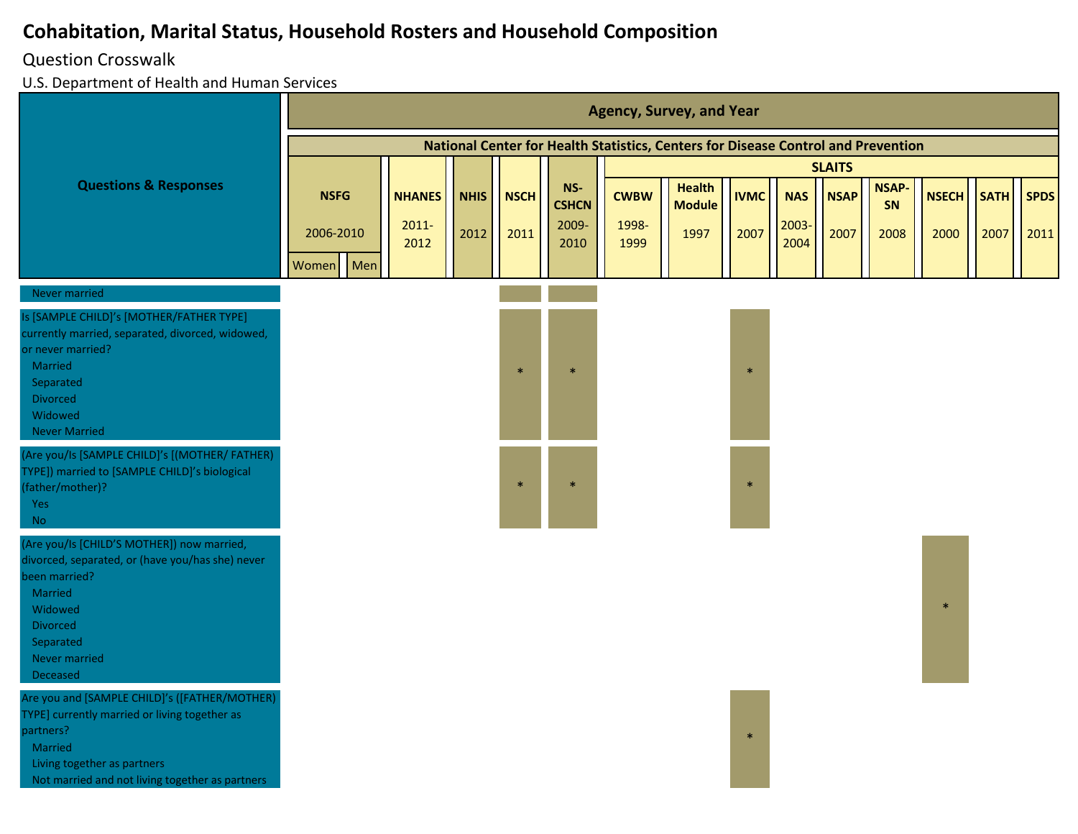#### Question Crosswalk

|                                                                                                                                                                                                                 |                                          |                                   |                     |                     |                                      |                              | <b>Agency, Survey, and Year</b>                                                   |                     |                             |                     |                            |                      |                     |                     |
|-----------------------------------------------------------------------------------------------------------------------------------------------------------------------------------------------------------------|------------------------------------------|-----------------------------------|---------------------|---------------------|--------------------------------------|------------------------------|-----------------------------------------------------------------------------------|---------------------|-----------------------------|---------------------|----------------------------|----------------------|---------------------|---------------------|
|                                                                                                                                                                                                                 |                                          |                                   |                     |                     |                                      |                              | National Center for Health Statistics, Centers for Disease Control and Prevention |                     |                             |                     |                            |                      |                     |                     |
|                                                                                                                                                                                                                 |                                          |                                   |                     |                     |                                      |                              |                                                                                   |                     |                             | <b>SLAITS</b>       |                            |                      |                     |                     |
| <b>Questions &amp; Responses</b>                                                                                                                                                                                | <b>NSFG</b><br>2006-2010<br>Men<br>Women | <b>NHANES</b><br>$2011 -$<br>2012 | <b>NHIS</b><br>2012 | <b>NSCH</b><br>2011 | NS-<br><b>CSHCN</b><br>2009-<br>2010 | <b>CWBW</b><br>1998-<br>1999 | <b>Health</b><br><b>Module</b><br>1997                                            | <b>IVMC</b><br>2007 | <b>NAS</b><br>2003-<br>2004 | <b>NSAP</b><br>2007 | <b>NSAP-</b><br>SN<br>2008 | <b>NSECH</b><br>2000 | <b>SATH</b><br>2007 | <b>SPDS</b><br>2011 |
| Never married                                                                                                                                                                                                   |                                          |                                   |                     |                     |                                      |                              |                                                                                   |                     |                             |                     |                            |                      |                     |                     |
| Is [SAMPLE CHILD]'s [MOTHER/FATHER TYPE]<br>currently married, separated, divorced, widowed,<br>or never married?<br>Married<br>Separated<br>Divorced<br>Widowed<br><b>Never Married</b>                        |                                          |                                   |                     | $\ast$              |                                      |                              |                                                                                   | $\ast$              |                             |                     |                            |                      |                     |                     |
| (Are you/Is [SAMPLE CHILD]'s [(MOTHER/ FATHER)<br>TYPE]) married to [SAMPLE CHILD]'s biological<br>father/mother)?<br>Yes<br>$\rm No$                                                                           |                                          |                                   |                     | $\frac{1}{2}$       |                                      |                              |                                                                                   | $\ast$              |                             |                     |                            |                      |                     |                     |
| (Are you/Is [CHILD'S MOTHER]) now married,<br>divorced, separated, or (have you/has she) never<br>been married?<br>Married<br>Widowed<br><b>Divorced</b><br>Separated<br>Never married<br>Deceased              |                                          |                                   |                     |                     |                                      |                              |                                                                                   |                     |                             |                     |                            |                      |                     |                     |
| Are you and [SAMPLE CHILD]'s ([FATHER/MOTHER)<br>TYPE] currently married or living together as<br>partners?<br><b>Married</b><br>Living together as partners<br>Not married and not living together as partners |                                          |                                   |                     |                     |                                      |                              |                                                                                   | $\ast$              |                             |                     |                            |                      |                     |                     |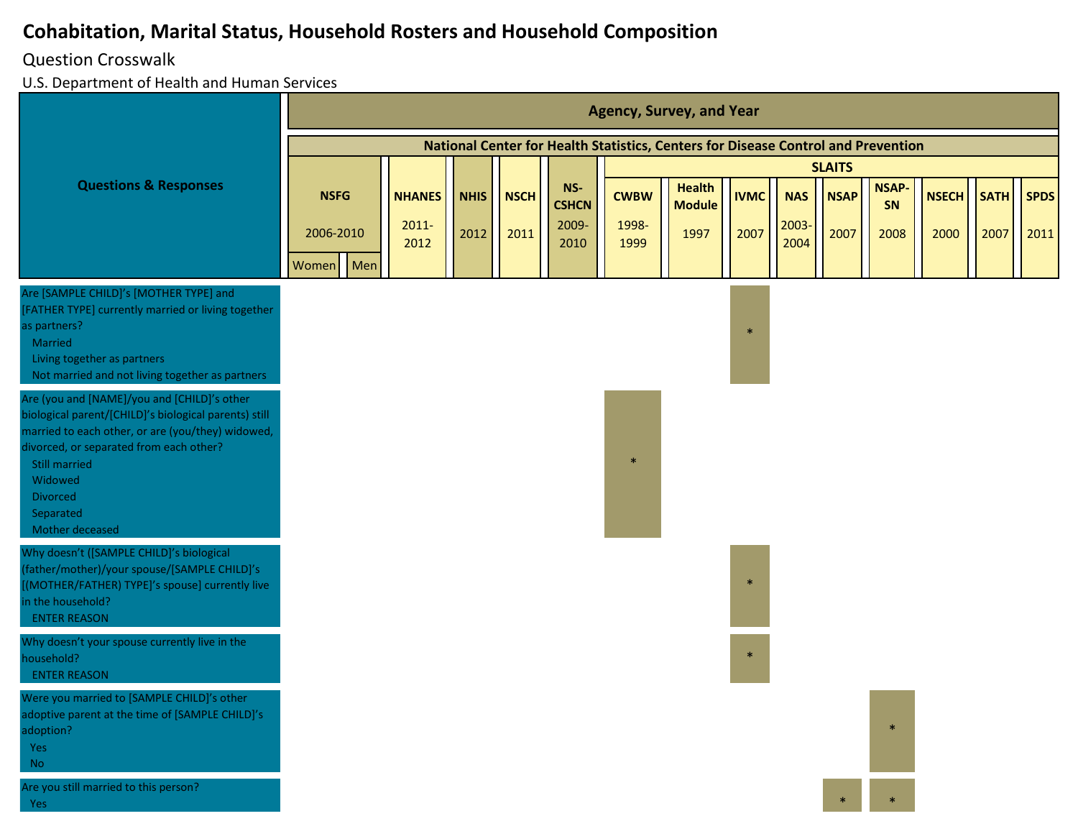#### Question Crosswalk

|                                                                                                                                                                                                                                                                                            |                                   |     |                                   |                     |                     |                                      |                              | <b>Agency, Survey, and Year</b>                                                   |                     |                             |                     |                            |                      |                     |                     |
|--------------------------------------------------------------------------------------------------------------------------------------------------------------------------------------------------------------------------------------------------------------------------------------------|-----------------------------------|-----|-----------------------------------|---------------------|---------------------|--------------------------------------|------------------------------|-----------------------------------------------------------------------------------|---------------------|-----------------------------|---------------------|----------------------------|----------------------|---------------------|---------------------|
|                                                                                                                                                                                                                                                                                            |                                   |     |                                   |                     |                     |                                      |                              | National Center for Health Statistics, Centers for Disease Control and Prevention |                     |                             |                     |                            |                      |                     |                     |
|                                                                                                                                                                                                                                                                                            |                                   |     |                                   |                     |                     |                                      |                              |                                                                                   |                     |                             | <b>SLAITS</b>       |                            |                      |                     |                     |
| <b>Questions &amp; Responses</b>                                                                                                                                                                                                                                                           | <b>NSFG</b><br>2006-2010<br>Women | Men | <b>NHANES</b><br>$2011 -$<br>2012 | <b>NHIS</b><br>2012 | <b>NSCH</b><br>2011 | NS-<br><b>CSHCN</b><br>2009-<br>2010 | <b>CWBW</b><br>1998-<br>1999 | <b>Health</b><br><b>Module</b><br>1997                                            | <b>IVMC</b><br>2007 | <b>NAS</b><br>2003-<br>2004 | <b>NSAP</b><br>2007 | <b>NSAP-</b><br>SN<br>2008 | <b>NSECH</b><br>2000 | <b>SATH</b><br>2007 | <b>SPDS</b><br>2011 |
| Are [SAMPLE CHILD]'s [MOTHER TYPE] and<br>[FATHER TYPE] currently married or living together<br>as partners?<br>Married<br>Living together as partners<br>Not married and not living together as partners                                                                                  |                                   |     |                                   |                     |                     |                                      |                              |                                                                                   | $\ast$              |                             |                     |                            |                      |                     |                     |
| Are (you and [NAME]/you and [CHILD]'s other<br>biological parent/[CHILD]'s biological parents) still<br>married to each other, or are (you/they) widowed,<br>divorced, or separated from each other?<br><b>Still married</b><br>Widowed<br><b>Divorced</b><br>Separated<br>Mother deceased |                                   |     |                                   |                     |                     |                                      | $\ast$                       |                                                                                   |                     |                             |                     |                            |                      |                     |                     |
| Why doesn't ([SAMPLE CHILD]'s biological<br>father/mother)/your spouse/[SAMPLE CHILD]'s<br>[(MOTHER/FATHER) TYPE]'s spouse] currently live<br>in the household?<br><b>ENTER REASON</b>                                                                                                     |                                   |     |                                   |                     |                     |                                      |                              |                                                                                   | $\mathbf{r}$        |                             |                     |                            |                      |                     |                     |
| Why doesn't your spouse currently live in the<br>household?<br><b>ENTER REASON</b>                                                                                                                                                                                                         |                                   |     |                                   |                     |                     |                                      |                              |                                                                                   | $\ast$              |                             |                     |                            |                      |                     |                     |
| Were you married to [SAMPLE CHILD]'s other<br>adoptive parent at the time of [SAMPLE CHILD]'s<br>adoption?<br>Yes<br>$\rm No$                                                                                                                                                              |                                   |     |                                   |                     |                     |                                      |                              |                                                                                   |                     |                             |                     |                            |                      |                     |                     |
| Are you still married to this person?<br>Yes                                                                                                                                                                                                                                               |                                   |     |                                   |                     |                     |                                      |                              |                                                                                   |                     |                             |                     |                            |                      |                     |                     |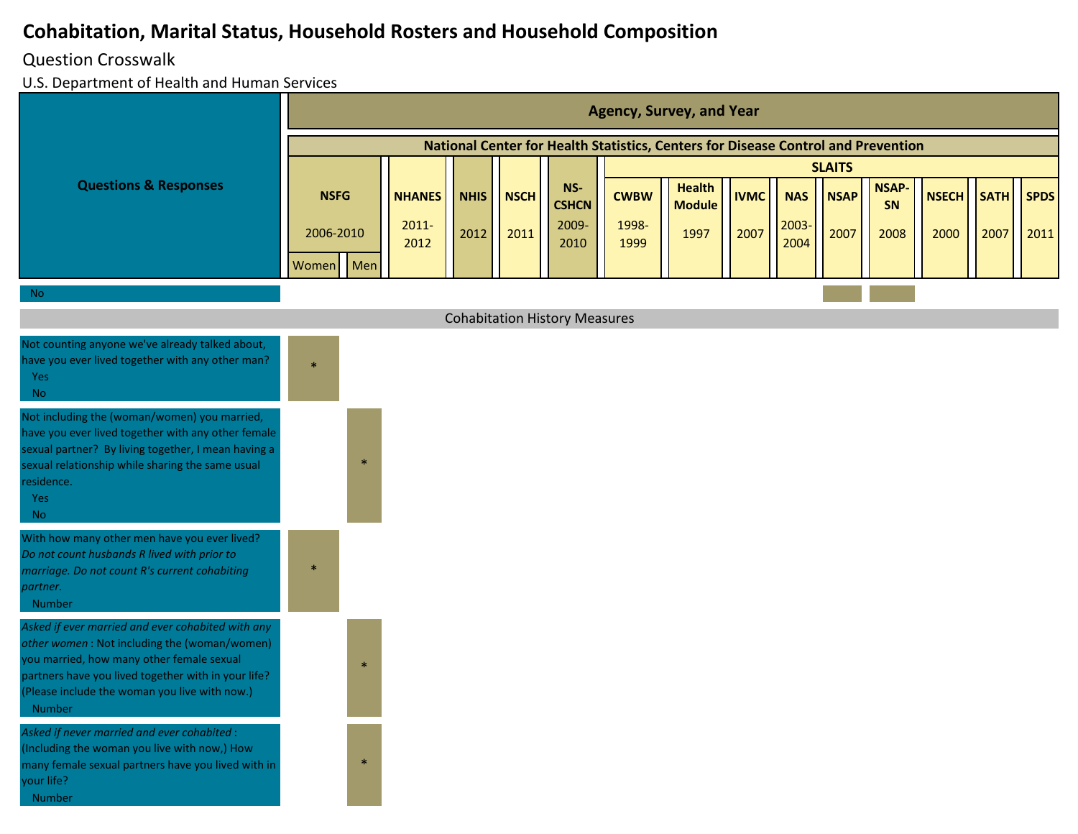#### Question Crosswalk

|                                                                                                                                                                                                                                                                 |                                   |     |                                   |                     |                     |                                      |                              | <b>Agency, Survey, and Year</b>                                                   |                     |                            |                     |                            |                      |                     |                     |
|-----------------------------------------------------------------------------------------------------------------------------------------------------------------------------------------------------------------------------------------------------------------|-----------------------------------|-----|-----------------------------------|---------------------|---------------------|--------------------------------------|------------------------------|-----------------------------------------------------------------------------------|---------------------|----------------------------|---------------------|----------------------------|----------------------|---------------------|---------------------|
|                                                                                                                                                                                                                                                                 |                                   |     |                                   |                     |                     |                                      |                              | National Center for Health Statistics, Centers for Disease Control and Prevention |                     |                            |                     |                            |                      |                     |                     |
|                                                                                                                                                                                                                                                                 |                                   |     |                                   |                     |                     |                                      |                              |                                                                                   |                     |                            | <b>SLAITS</b>       |                            |                      |                     |                     |
| <b>Questions &amp; Responses</b>                                                                                                                                                                                                                                | <b>NSFG</b><br>2006-2010<br>Women | Men | <b>NHANES</b><br>$2011 -$<br>2012 | <b>NHIS</b><br>2012 | <b>NSCH</b><br>2011 | NS-<br><b>CSHCN</b><br>2009-<br>2010 | <b>CWBW</b><br>1998-<br>1999 | <b>Health</b><br><b>Module</b><br>1997                                            | <b>IVMC</b><br>2007 | <b>NAS</b><br>2003<br>2004 | <b>NSAP</b><br>2007 | <b>NSAP-</b><br>SN<br>2008 | <b>NSECH</b><br>2000 | <b>SATH</b><br>2007 | <b>SPDS</b><br>2011 |
| <b>No</b>                                                                                                                                                                                                                                                       |                                   |     |                                   |                     |                     |                                      |                              |                                                                                   |                     |                            |                     |                            |                      |                     |                     |
|                                                                                                                                                                                                                                                                 |                                   |     |                                   |                     |                     | <b>Cohabitation History Measures</b> |                              |                                                                                   |                     |                            |                     |                            |                      |                     |                     |
| Not counting anyone we've already talked about,<br>have you ever lived together with any other man?<br>Yes<br><b>No</b>                                                                                                                                         | $\ast$                            |     |                                   |                     |                     |                                      |                              |                                                                                   |                     |                            |                     |                            |                      |                     |                     |
| Not including the (woman/women) you married,<br>have you ever lived together with any other female<br>sexual partner? By living together, I mean having a<br>sexual relationship while sharing the same usual<br>residence.<br>Yes<br><b>No</b>                 |                                   |     |                                   |                     |                     |                                      |                              |                                                                                   |                     |                            |                     |                            |                      |                     |                     |
| With how many other men have you ever lived?<br>Do not count husbands R lived with prior to<br>marriage. Do not count R's current cohabiting<br>partner.<br>Number                                                                                              |                                   |     |                                   |                     |                     |                                      |                              |                                                                                   |                     |                            |                     |                            |                      |                     |                     |
| Asked if ever married and ever cohabited with any<br>other women: Not including the (woman/women)<br>ou married, how many other female sexual<br>partners have you lived together with in your life?<br>(Please include the woman you live with now.)<br>Number |                                   |     |                                   |                     |                     |                                      |                              |                                                                                   |                     |                            |                     |                            |                      |                     |                     |
| Asked if never married and ever cohabited :<br>(Including the woman you live with now,) How<br>many female sexual partners have you lived with in<br>our life?<br>Number                                                                                        |                                   |     |                                   |                     |                     |                                      |                              |                                                                                   |                     |                            |                     |                            |                      |                     |                     |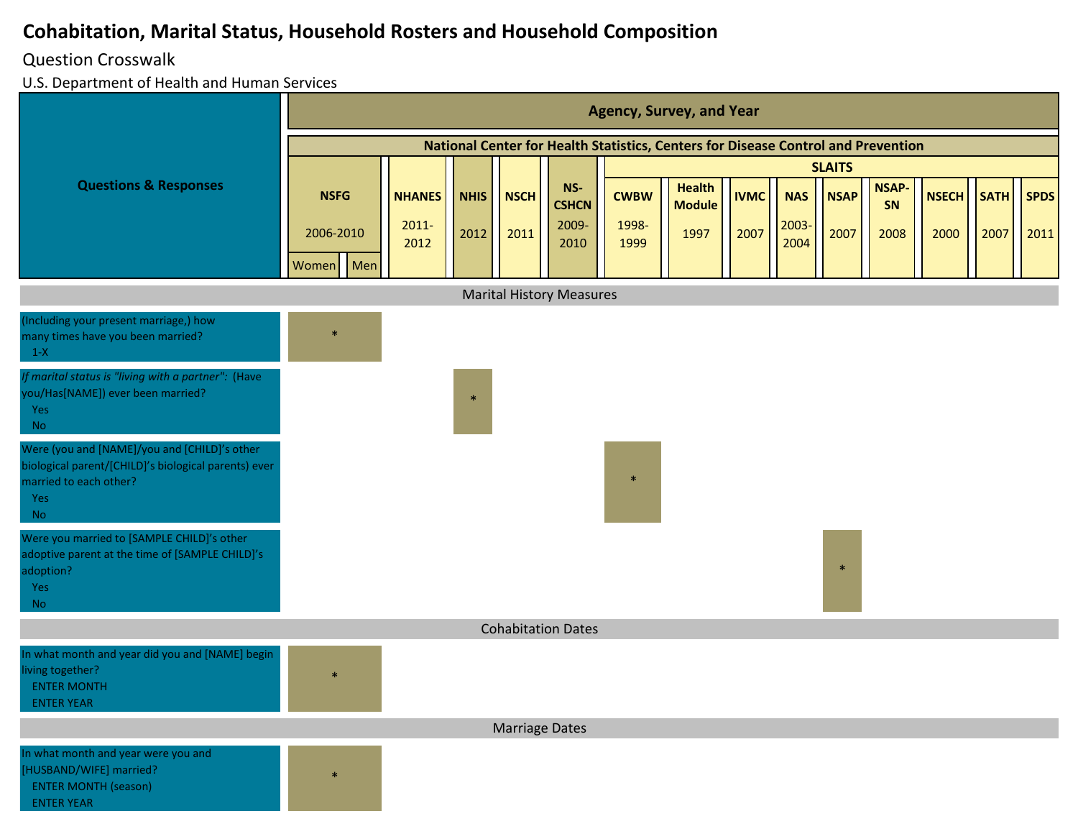#### Question Crosswalk

|                                                                                                                                             |              |                  |             |                       |                                 |               | <b>Agency, Survey, and Year</b>                                                   |             |               |               |                    |              |             |             |
|---------------------------------------------------------------------------------------------------------------------------------------------|--------------|------------------|-------------|-----------------------|---------------------------------|---------------|-----------------------------------------------------------------------------------|-------------|---------------|---------------|--------------------|--------------|-------------|-------------|
|                                                                                                                                             |              |                  |             |                       |                                 |               | National Center for Health Statistics, Centers for Disease Control and Prevention |             |               |               |                    |              |             |             |
|                                                                                                                                             |              |                  |             |                       |                                 |               |                                                                                   |             |               | <b>SLAITS</b> |                    |              |             |             |
| <b>Questions &amp; Responses</b>                                                                                                            | <b>NSFG</b>  | <b>NHANES</b>    | <b>NHIS</b> | <b>NSCH</b>           | $NS-$<br><b>CSHCN</b>           | <b>CWBW</b>   | <b>Health</b><br><b>Module</b>                                                    | <b>IVMC</b> | <b>NAS</b>    | <b>NSAP</b>   | <b>NSAP-</b><br>SN | <b>NSECH</b> | <b>SATH</b> | <b>SPDS</b> |
|                                                                                                                                             | 2006-2010    | $2011 -$<br>2012 | 2012        | 2011                  | 2009-<br>2010                   | 1998-<br>1999 | 1997                                                                              | 2007        | 2003-<br>2004 | 2007          | 2008               | 2000         | 2007        | 2011        |
|                                                                                                                                             | Men<br>Women |                  |             |                       |                                 |               |                                                                                   |             |               |               |                    |              |             |             |
|                                                                                                                                             |              |                  |             |                       | <b>Marital History Measures</b> |               |                                                                                   |             |               |               |                    |              |             |             |
| (Including your present marriage,) how<br>many times have you been married?<br>$1-X$                                                        | $\ast$       |                  |             |                       |                                 |               |                                                                                   |             |               |               |                    |              |             |             |
| If marital status is "living with a partner": (Have<br>you/Has[NAME]) ever been married?<br>Yes<br><b>No</b>                                |              |                  | $\star$     |                       |                                 |               |                                                                                   |             |               |               |                    |              |             |             |
| Were (you and [NAME]/you and [CHILD]'s other<br>biological parent/[CHILD]'s biological parents) ever<br>married to each other?<br>Yes<br>No |              |                  |             |                       |                                 | $\ast$        |                                                                                   |             |               |               |                    |              |             |             |
| Were you married to [SAMPLE CHILD]'s other<br>adoptive parent at the time of [SAMPLE CHILD]'s<br>adoption?<br>Yes<br><b>No</b>              |              |                  |             |                       |                                 |               |                                                                                   |             |               | $\ast$        |                    |              |             |             |
|                                                                                                                                             |              |                  |             |                       | <b>Cohabitation Dates</b>       |               |                                                                                   |             |               |               |                    |              |             |             |
| In what month and year did you and [NAME] begin<br>living together?<br><b>ENTER MONTH</b><br><b>ENTER YEAR</b>                              |              |                  |             |                       |                                 |               |                                                                                   |             |               |               |                    |              |             |             |
|                                                                                                                                             |              |                  |             | <b>Marriage Dates</b> |                                 |               |                                                                                   |             |               |               |                    |              |             |             |
| In what month and year were you and<br>[HUSBAND/WIFE] married?<br><b>ENTER MONTH (season)</b><br><b>ENTER YEAR</b>                          | $\ast$       |                  |             |                       |                                 |               |                                                                                   |             |               |               |                    |              |             |             |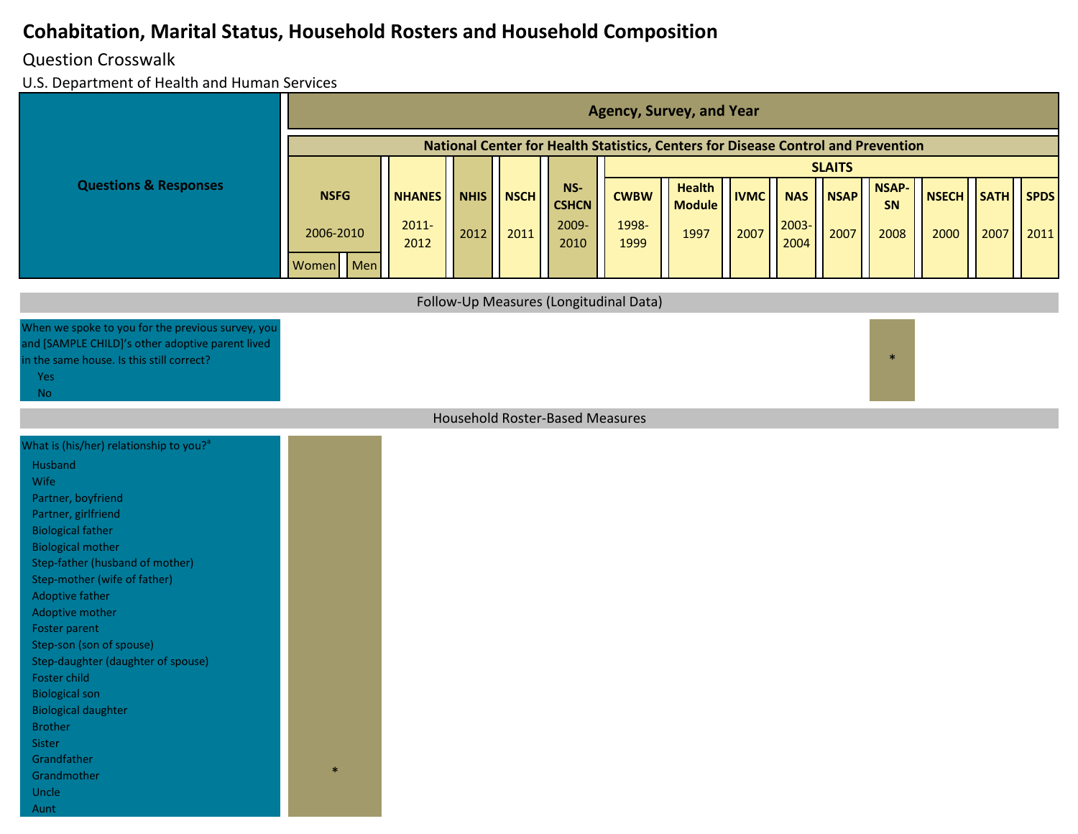#### Question Crosswalk

Aunt

|                                                                                                                                                                                                                                                                                                                                                                                                                                                                                                            |             |     |                  |             |             |                                        |               | <b>Agency, Survey, and Year</b>                                                   |             |               |               |                    |              |             |             |
|------------------------------------------------------------------------------------------------------------------------------------------------------------------------------------------------------------------------------------------------------------------------------------------------------------------------------------------------------------------------------------------------------------------------------------------------------------------------------------------------------------|-------------|-----|------------------|-------------|-------------|----------------------------------------|---------------|-----------------------------------------------------------------------------------|-------------|---------------|---------------|--------------------|--------------|-------------|-------------|
|                                                                                                                                                                                                                                                                                                                                                                                                                                                                                                            |             |     |                  |             |             |                                        |               | National Center for Health Statistics, Centers for Disease Control and Prevention |             |               |               |                    |              |             |             |
|                                                                                                                                                                                                                                                                                                                                                                                                                                                                                                            |             |     |                  |             |             |                                        |               |                                                                                   |             |               | <b>SLAITS</b> |                    |              |             |             |
| <b>Questions &amp; Responses</b>                                                                                                                                                                                                                                                                                                                                                                                                                                                                           | <b>NSFG</b> |     | <b>NHANES</b>    | <b>NHIS</b> | <b>NSCH</b> | $NS-$<br><b>CSHCN</b>                  | <b>CWBW</b>   | <b>Health</b><br><b>Module</b>                                                    | <b>IVMC</b> | <b>NAS</b>    | <b>NSAP</b>   | <b>NSAP-</b><br>SN | <b>NSECH</b> | <b>SATH</b> | <b>SPDS</b> |
|                                                                                                                                                                                                                                                                                                                                                                                                                                                                                                            | 2006-2010   |     | $2011 -$<br>2012 | 2012        | 2011        | 2009-<br>2010                          | 1998-<br>1999 | 1997                                                                              | 2007        | 2003-<br>2004 | 2007          | 2008               | 2000         | 2007        | 2011        |
|                                                                                                                                                                                                                                                                                                                                                                                                                                                                                                            | Women       | Men |                  |             |             |                                        |               |                                                                                   |             |               |               |                    |              |             |             |
|                                                                                                                                                                                                                                                                                                                                                                                                                                                                                                            |             |     |                  |             |             | Follow-Up Measures (Longitudinal Data) |               |                                                                                   |             |               |               |                    |              |             |             |
| When we spoke to you for the previous survey, you<br>and [SAMPLE CHILD]'s other adoptive parent lived<br>in the same house. Is this still correct?<br><b>Yes</b><br><b>No</b>                                                                                                                                                                                                                                                                                                                              |             |     |                  |             |             |                                        |               |                                                                                   |             |               |               | $\ast$             |              |             |             |
|                                                                                                                                                                                                                                                                                                                                                                                                                                                                                                            |             |     |                  |             |             | Household Roster-Based Measures        |               |                                                                                   |             |               |               |                    |              |             |             |
| What is (his/her) relationship to you? <sup>a</sup><br>Husband<br>Wife<br>Partner, boyfriend<br>Partner, girlfriend<br><b>Biological father</b><br><b>Biological mother</b><br>Step-father (husband of mother)<br>Step-mother (wife of father)<br>Adoptive father<br>Adoptive mother<br>Foster parent<br>Step-son (son of spouse)<br>Step-daughter (daughter of spouse)<br>Foster child<br><b>Biological son</b><br><b>Biological daughter</b><br>Brother<br>Sister<br>Grandfather<br>Grandmother<br>Uncle |             |     |                  |             |             |                                        |               |                                                                                   |             |               |               |                    |              |             |             |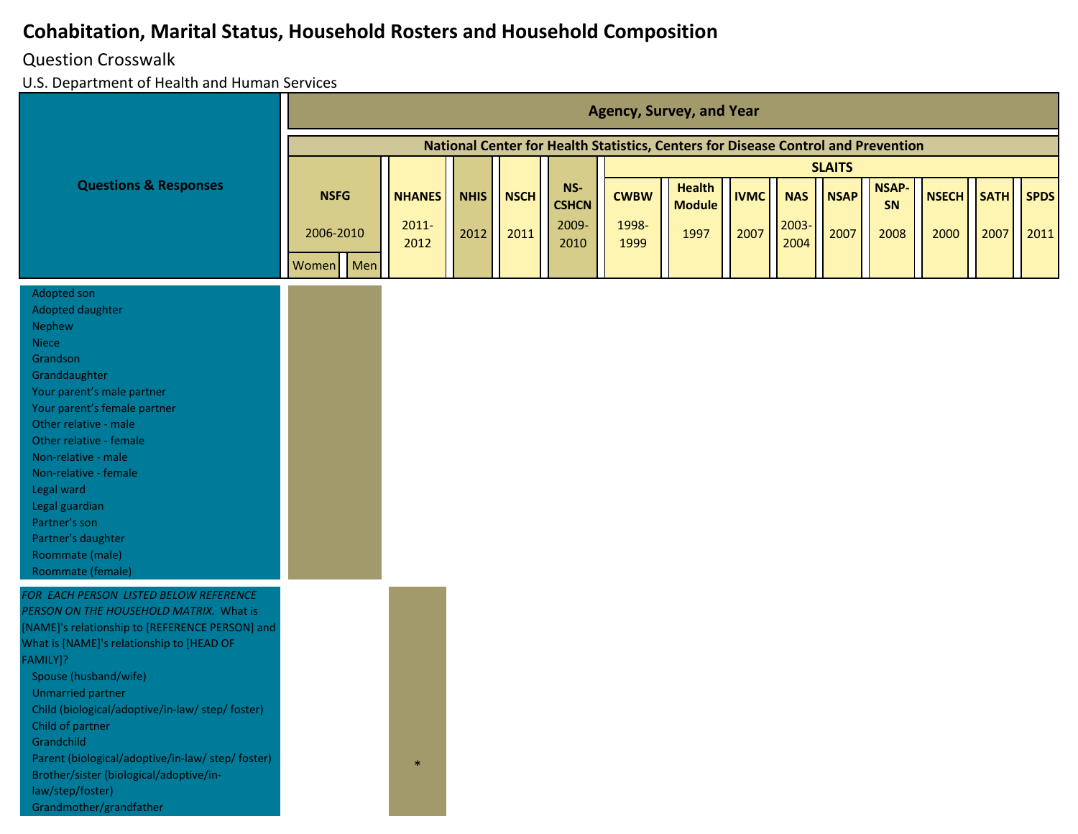#### Question Crosswalk

|                                                                                                                                                                                                                                                                                                                                                                                                                                                                                  |              |                  |             |             |                     |               | <b>Agency, Survey, and Year</b>                                                   |             |              |               |                    |              |             |             |
|----------------------------------------------------------------------------------------------------------------------------------------------------------------------------------------------------------------------------------------------------------------------------------------------------------------------------------------------------------------------------------------------------------------------------------------------------------------------------------|--------------|------------------|-------------|-------------|---------------------|---------------|-----------------------------------------------------------------------------------|-------------|--------------|---------------|--------------------|--------------|-------------|-------------|
|                                                                                                                                                                                                                                                                                                                                                                                                                                                                                  |              |                  |             |             |                     |               | National Center for Health Statistics, Centers for Disease Control and Prevention |             |              |               |                    |              |             |             |
|                                                                                                                                                                                                                                                                                                                                                                                                                                                                                  |              |                  |             |             |                     |               |                                                                                   |             |              | <b>SLAITS</b> |                    |              |             |             |
| <b>Questions &amp; Responses</b>                                                                                                                                                                                                                                                                                                                                                                                                                                                 | <b>NSFG</b>  | <b>NHANES</b>    | <b>NHIS</b> | <b>NSCH</b> | NS-<br><b>CSHCN</b> | <b>CWBW</b>   | <b>Health</b><br><b>Module</b>                                                    | <b>IVMC</b> | <b>NAS</b>   | <b>NSAP</b>   | <b>NSAP-</b><br>SN | <b>NSECH</b> | <b>SATH</b> | <b>SPDS</b> |
|                                                                                                                                                                                                                                                                                                                                                                                                                                                                                  | 2006-2010    | $2011 -$<br>2012 | 2012        | 2011        | 2009-<br>2010       | 1998-<br>1999 | 1997                                                                              | 2007        | 2003<br>2004 | 2007          | 2008               | 2000         | 2007        | 2011        |
|                                                                                                                                                                                                                                                                                                                                                                                                                                                                                  | Men<br>Women |                  |             |             |                     |               |                                                                                   |             |              |               |                    |              |             |             |
| Adopted son<br>Adopted daughter<br>Nephew<br><b>Niece</b><br>Grandson<br>Granddaughter<br>Your parent's male partner<br>Your parent's female partner<br>Other relative - male<br>Other relative - female<br>Non-relative - male<br>Non-relative - female<br>Legal ward<br>Legal guardian<br>Partner's son<br>Partner's daughter<br>Roommate (male)<br>Roommate (female)                                                                                                          |              |                  |             |             |                     |               |                                                                                   |             |              |               |                    |              |             |             |
| FOR EACH PERSON LISTED BELOW REFERENCE<br>PERSON ON THE HOUSEHOLD MATRIX. What is<br>[NAME]'s relationship to [REFERENCE PERSON] and<br>What is [NAME]'s relationship to [HEAD OF<br>FAMILY]?<br>Spouse (husband/wife)<br>Unmarried partner<br>Child (biological/adoptive/in-law/ step/ foster)<br>Child of partner<br>Grandchild<br>Parent (biological/adoptive/in-law/ step/ foster)<br>Brother/sister (biological/adoptive/in-<br>law/step/foster)<br>Grandmother/grandfather |              | $\ast$           |             |             |                     |               |                                                                                   |             |              |               |                    |              |             |             |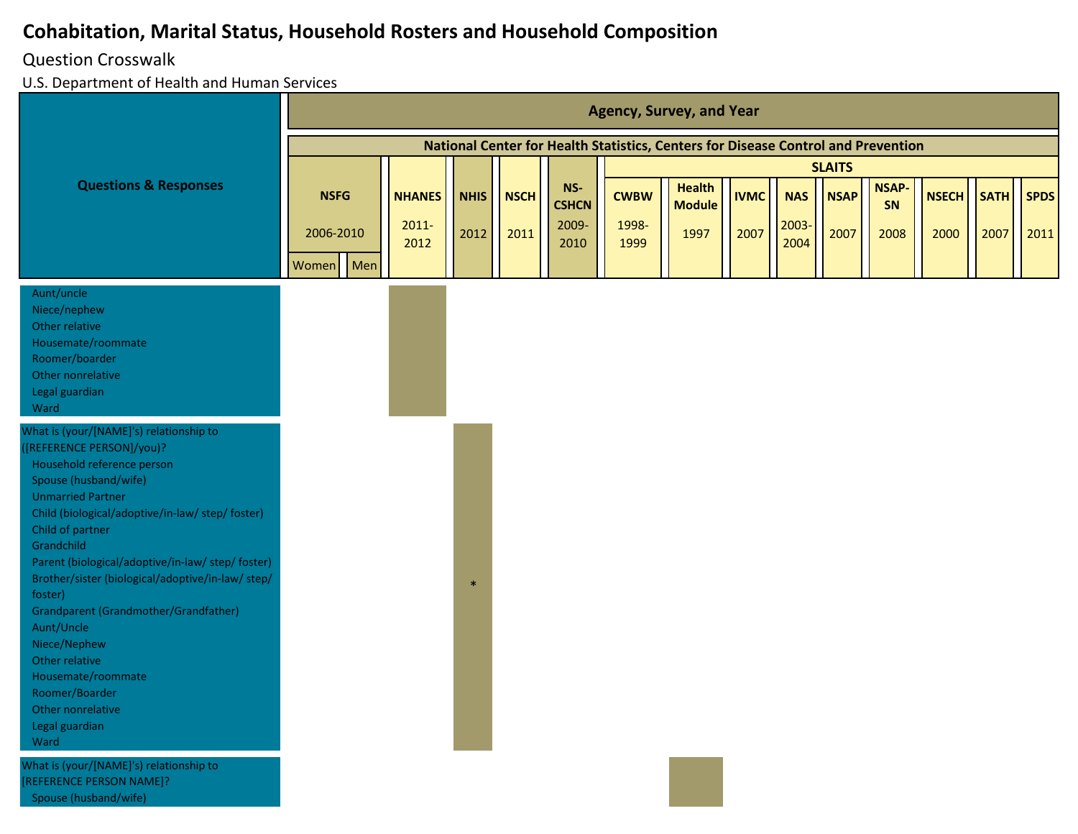## Question Crosswalk

Spouse (husband/wife)

|                                                                                                                                                                                                                                                                                                                                                                                                                                                                                                                                                   | <b>Agency, Survey, and Year</b>   |     |                                   |                     |                     |                                      |                              |                                                                                   |                     |                            |                     |                            |                      |                     |                     |
|---------------------------------------------------------------------------------------------------------------------------------------------------------------------------------------------------------------------------------------------------------------------------------------------------------------------------------------------------------------------------------------------------------------------------------------------------------------------------------------------------------------------------------------------------|-----------------------------------|-----|-----------------------------------|---------------------|---------------------|--------------------------------------|------------------------------|-----------------------------------------------------------------------------------|---------------------|----------------------------|---------------------|----------------------------|----------------------|---------------------|---------------------|
|                                                                                                                                                                                                                                                                                                                                                                                                                                                                                                                                                   |                                   |     |                                   |                     |                     |                                      |                              | National Center for Health Statistics, Centers for Disease Control and Prevention |                     |                            |                     |                            |                      |                     |                     |
|                                                                                                                                                                                                                                                                                                                                                                                                                                                                                                                                                   |                                   |     |                                   |                     |                     |                                      |                              |                                                                                   |                     |                            | <b>SLAITS</b>       |                            |                      |                     |                     |
| <b>Questions &amp; Responses</b>                                                                                                                                                                                                                                                                                                                                                                                                                                                                                                                  | <b>NSFG</b><br>2006-2010<br>Women | Men | <b>NHANES</b><br>$2011 -$<br>2012 | <b>NHIS</b><br>2012 | <b>NSCH</b><br>2011 | NS-<br><b>CSHCN</b><br>2009-<br>2010 | <b>CWBW</b><br>1998-<br>1999 | <b>Health</b><br><b>Module</b><br>1997                                            | <b>IVMC</b><br>2007 | <b>NAS</b><br>2003<br>2004 | <b>NSAP</b><br>2007 | <b>NSAP-</b><br>SN<br>2008 | <b>NSECH</b><br>2000 | <b>SATH</b><br>2007 | <b>SPDS</b><br>2011 |
| Aunt/uncle<br>Niece/nephew<br>Other relative<br>Housemate/roommate<br>Roomer/boarder<br>Other nonrelative<br>Legal guardian<br>Ward                                                                                                                                                                                                                                                                                                                                                                                                               |                                   |     |                                   |                     |                     |                                      |                              |                                                                                   |                     |                            |                     |                            |                      |                     |                     |
| What is (your/[NAME]'s) relationship to<br>[REFERENCE PERSON]/you)?<br>Household reference person<br>Spouse (husband/wife)<br><b>Unmarried Partner</b><br>Child (biological/adoptive/in-law/ step/ foster)<br>Child of partner<br>Grandchild<br>Parent (biological/adoptive/in-law/ step/ foster)<br>Brother/sister (biological/adoptive/in-law/ step/<br>foster)<br>Grandparent (Grandmother/Grandfather)<br>Aunt/Uncle<br>Niece/Nephew<br>Other relative<br>Housemate/roommate<br>Roomer/Boarder<br>Other nonrelative<br>Legal guardian<br>Ward |                                   |     |                                   | $\frac{1}{2}$       |                     |                                      |                              |                                                                                   |                     |                            |                     |                            |                      |                     |                     |
| What is (your/[NAME]'s) relationship to<br>[REFERENCE PERSON NAME]?                                                                                                                                                                                                                                                                                                                                                                                                                                                                               |                                   |     |                                   |                     |                     |                                      |                              |                                                                                   |                     |                            |                     |                            |                      |                     |                     |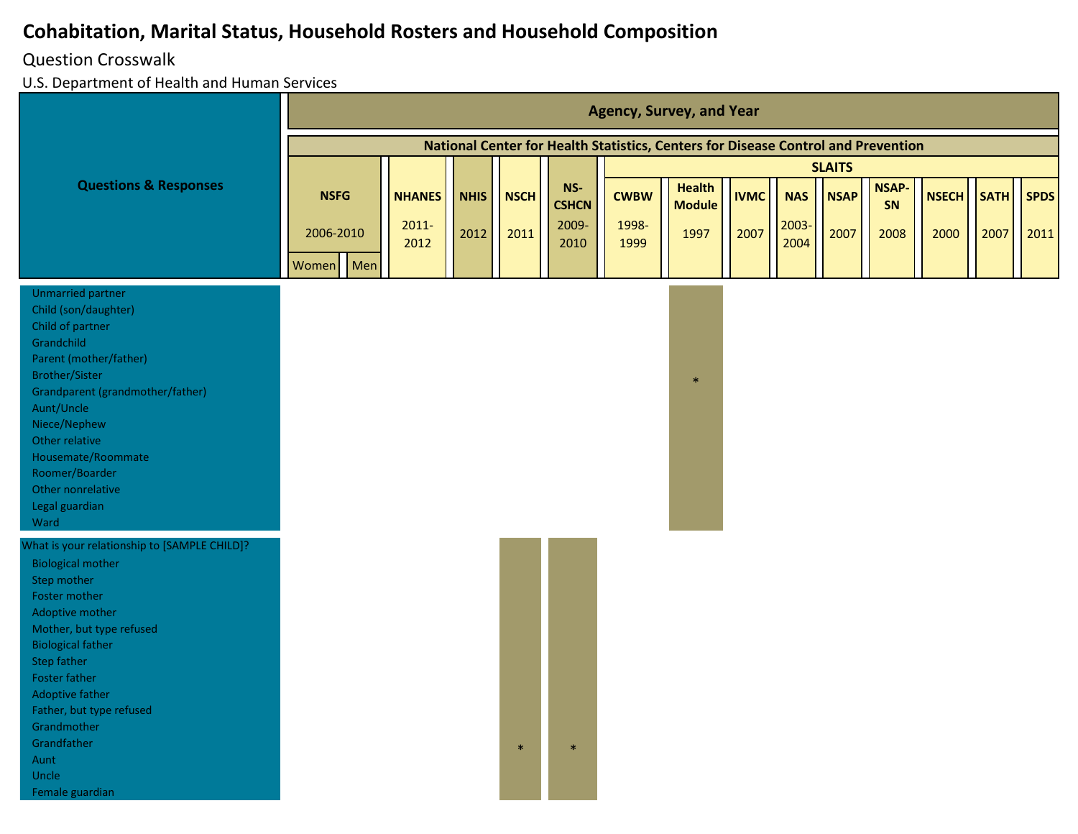#### Question Crosswalk

|                                                                                                                                                                                                                                                                                                                                             |                          |                           |                     |                     |                                |                      | <b>Agency, Survey, and Year</b>                                                   |                     |                     |                     |                            |                      |                     |                     |
|---------------------------------------------------------------------------------------------------------------------------------------------------------------------------------------------------------------------------------------------------------------------------------------------------------------------------------------------|--------------------------|---------------------------|---------------------|---------------------|--------------------------------|----------------------|-----------------------------------------------------------------------------------|---------------------|---------------------|---------------------|----------------------------|----------------------|---------------------|---------------------|
|                                                                                                                                                                                                                                                                                                                                             |                          |                           |                     |                     |                                |                      | National Center for Health Statistics, Centers for Disease Control and Prevention |                     |                     |                     |                            |                      |                     |                     |
|                                                                                                                                                                                                                                                                                                                                             |                          |                           |                     |                     |                                |                      |                                                                                   |                     |                     | <b>SLAITS</b>       |                            |                      |                     |                     |
| <b>Questions &amp; Responses</b>                                                                                                                                                                                                                                                                                                            | <b>NSFG</b><br>2006-2010 | <b>NHANES</b><br>$2011 -$ | <b>NHIS</b><br>2012 | <b>NSCH</b><br>2011 | $NS-$<br><b>CSHCN</b><br>2009- | <b>CWBW</b><br>1998- | <b>Health</b><br><b>Module</b><br>1997                                            | <b>IVMC</b><br>2007 | <b>NAS</b><br>2003- | <b>NSAP</b><br>2007 | <b>NSAP-</b><br>SN<br>2008 | <b>NSECH</b><br>2000 | <b>SATH</b><br>2007 | <b>SPDS</b><br>2011 |
|                                                                                                                                                                                                                                                                                                                                             | Men<br>Women             | 2012                      |                     |                     | 2010                           | 1999                 |                                                                                   |                     | 2004                |                     |                            |                      |                     |                     |
| <b>Unmarried partner</b><br>Child (son/daughter)<br>Child of partner<br>Grandchild<br>Parent (mother/father)<br><b>Brother/Sister</b><br>Grandparent (grandmother/father)<br>Aunt/Uncle<br>Niece/Nephew<br>Other relative<br>Housemate/Roommate<br>Roomer/Boarder<br>Other nonrelative<br>Legal guardian<br>Ward                            |                          |                           |                     |                     |                                |                      | $\ast$                                                                            |                     |                     |                     |                            |                      |                     |                     |
| What is your relationship to [SAMPLE CHILD]?<br><b>Biological mother</b><br>Step mother<br>Foster mother<br>Adoptive mother<br>Mother, but type refused<br><b>Biological father</b><br><b>Step father</b><br>Foster father<br>Adoptive father<br>Father, but type refused<br>Grandmother<br>Grandfather<br>Aunt<br>Uncle<br>Female guardian |                          |                           |                     |                     |                                |                      |                                                                                   |                     |                     |                     |                            |                      |                     |                     |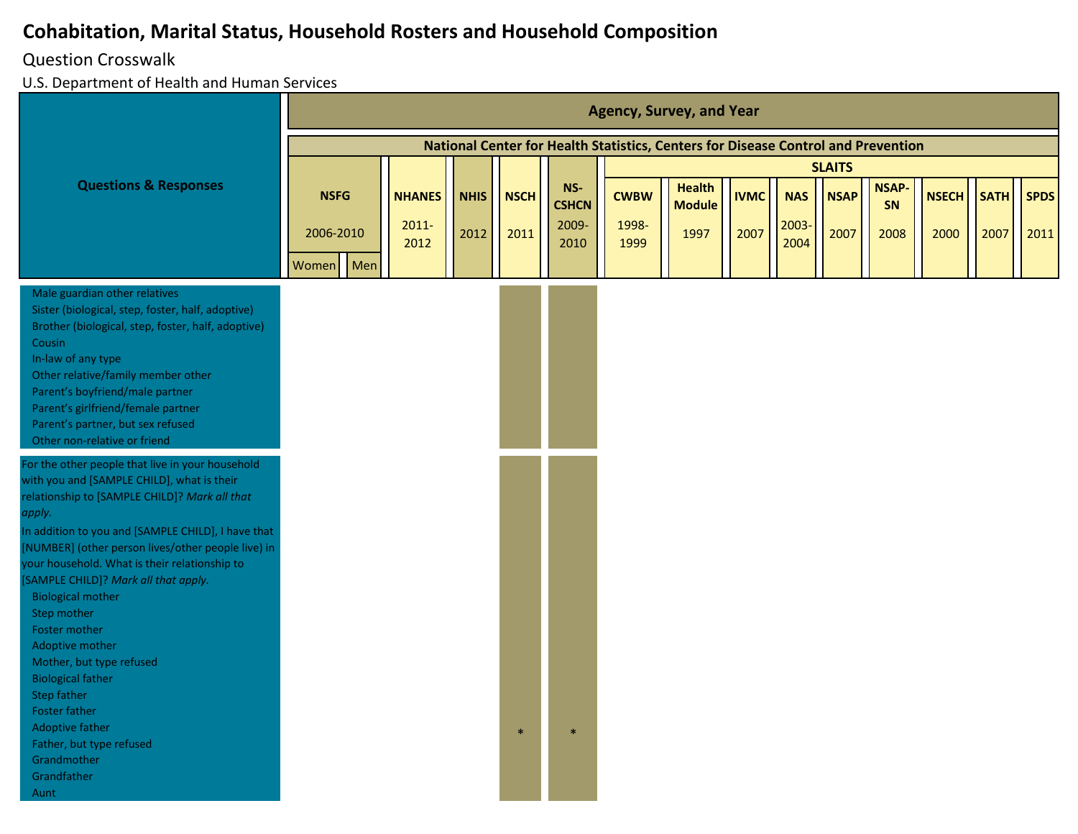#### Question Crosswalk

|                                                                                                                                                                                                                                                                                                                                                                                                                                                                                                                                                                                                                            |             |     |                  |             |             |                     |               | <b>Agency, Survey, and Year</b>                                                   |             |               |               |                    |              |             |             |
|----------------------------------------------------------------------------------------------------------------------------------------------------------------------------------------------------------------------------------------------------------------------------------------------------------------------------------------------------------------------------------------------------------------------------------------------------------------------------------------------------------------------------------------------------------------------------------------------------------------------------|-------------|-----|------------------|-------------|-------------|---------------------|---------------|-----------------------------------------------------------------------------------|-------------|---------------|---------------|--------------------|--------------|-------------|-------------|
|                                                                                                                                                                                                                                                                                                                                                                                                                                                                                                                                                                                                                            |             |     |                  |             |             |                     |               | National Center for Health Statistics, Centers for Disease Control and Prevention |             |               |               |                    |              |             |             |
|                                                                                                                                                                                                                                                                                                                                                                                                                                                                                                                                                                                                                            |             |     |                  |             |             |                     |               |                                                                                   |             |               | <b>SLAITS</b> |                    |              |             |             |
| <b>Questions &amp; Responses</b>                                                                                                                                                                                                                                                                                                                                                                                                                                                                                                                                                                                           | <b>NSFG</b> |     | <b>NHANES</b>    | <b>NHIS</b> | <b>NSCH</b> | NS-<br><b>CSHCN</b> | <b>CWBW</b>   | <b>Health</b><br><b>Module</b>                                                    | <b>IVMC</b> | <b>NAS</b>    | <b>NSAP</b>   | <b>NSAP-</b><br>SN | <b>NSECH</b> | <b>SATH</b> | <b>SPDS</b> |
|                                                                                                                                                                                                                                                                                                                                                                                                                                                                                                                                                                                                                            | 2006-2010   |     | $2011 -$<br>2012 | 2012        | 2011        | 2009-<br>2010       | 1998-<br>1999 | 1997                                                                              | 2007        | 2003-<br>2004 | 2007          | 2008               | 2000         | 2007        | 2011        |
|                                                                                                                                                                                                                                                                                                                                                                                                                                                                                                                                                                                                                            | Women       | Men |                  |             |             |                     |               |                                                                                   |             |               |               |                    |              |             |             |
| Male guardian other relatives<br>Sister (biological, step, foster, half, adoptive)<br>Brother (biological, step, foster, half, adoptive)<br>Cousin<br>In-law of any type<br>Other relative/family member other<br>Parent's boyfriend/male partner<br>Parent's girlfriend/female partner<br>Parent's partner, but sex refused<br>Other non-relative or friend                                                                                                                                                                                                                                                               |             |     |                  |             |             |                     |               |                                                                                   |             |               |               |                    |              |             |             |
| For the other people that live in your household<br>with you and [SAMPLE CHILD], what is their<br>relationship to [SAMPLE CHILD]? Mark all that<br>apply.<br>In addition to you and [SAMPLE CHILD], I have that<br>[NUMBER] (other person lives/other people live) in<br>your household. What is their relationship to<br>[SAMPLE CHILD]? Mark all that apply.<br><b>Biological mother</b><br>Step mother<br>Foster mother<br>Adoptive mother<br>Mother, but type refused<br><b>Biological father</b><br>Step father<br>Foster father<br>Adoptive father<br>Father, but type refused<br>Grandmother<br>Grandfather<br>Aunt |             |     |                  |             | $\ast$      |                     |               |                                                                                   |             |               |               |                    |              |             |             |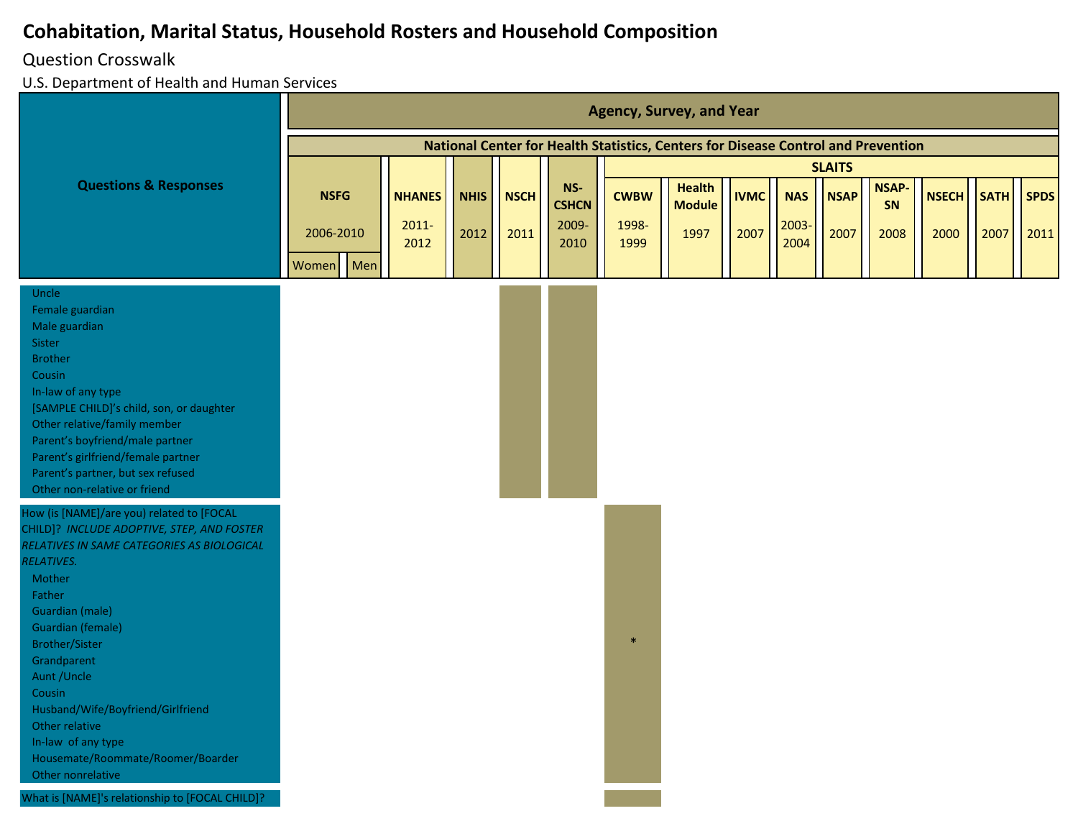#### Question Crosswalk

|                                                                                                                                                                                                                                                                                                                                                                                                                                                                                                  |             |     |                  |             |             |                     |               | <b>Agency, Survey, and Year</b>                                                   |             |               |               |                    |              |             |             |
|--------------------------------------------------------------------------------------------------------------------------------------------------------------------------------------------------------------------------------------------------------------------------------------------------------------------------------------------------------------------------------------------------------------------------------------------------------------------------------------------------|-------------|-----|------------------|-------------|-------------|---------------------|---------------|-----------------------------------------------------------------------------------|-------------|---------------|---------------|--------------------|--------------|-------------|-------------|
|                                                                                                                                                                                                                                                                                                                                                                                                                                                                                                  |             |     |                  |             |             |                     |               | National Center for Health Statistics, Centers for Disease Control and Prevention |             |               |               |                    |              |             |             |
|                                                                                                                                                                                                                                                                                                                                                                                                                                                                                                  |             |     |                  |             |             |                     |               |                                                                                   |             |               | <b>SLAITS</b> |                    |              |             |             |
| <b>Questions &amp; Responses</b>                                                                                                                                                                                                                                                                                                                                                                                                                                                                 | <b>NSFG</b> |     | <b>NHANES</b>    | <b>NHIS</b> | <b>NSCH</b> | NS-<br><b>CSHCN</b> | <b>CWBW</b>   | <b>Health</b><br><b>Module</b>                                                    | <b>IVMC</b> | <b>NAS</b>    | <b>NSAP</b>   | <b>NSAP-</b><br>SN | <b>NSECH</b> | <b>SATH</b> | <b>SPDS</b> |
|                                                                                                                                                                                                                                                                                                                                                                                                                                                                                                  | 2006-2010   |     | $2011 -$<br>2012 | 2012        | 2011        | 2009-<br>2010       | 1998-<br>1999 | 1997                                                                              | 2007        | 2003-<br>2004 | 2007          | 2008               | 2000         | 2007        | 2011        |
|                                                                                                                                                                                                                                                                                                                                                                                                                                                                                                  | Women       | Men |                  |             |             |                     |               |                                                                                   |             |               |               |                    |              |             |             |
| Uncle<br>Female guardian<br>Male guardian<br>Sister<br><b>Brother</b><br>Cousin<br>In-law of any type<br>[SAMPLE CHILD]'s child, son, or daughter<br>Other relative/family member<br>Parent's boyfriend/male partner<br>Parent's girlfriend/female partner<br>Parent's partner, but sex refused<br>Other non-relative or friend                                                                                                                                                                  |             |     |                  |             |             |                     |               |                                                                                   |             |               |               |                    |              |             |             |
| How (is [NAME]/are you) related to [FOCAL<br>CHILD]? INCLUDE ADOPTIVE, STEP, AND FOSTER<br>RELATIVES IN SAME CATEGORIES AS BIOLOGICAL<br><b>RELATIVES.</b><br>Mother<br>Father<br><b>Guardian (male)</b><br><b>Guardian (female)</b><br><b>Brother/Sister</b><br>Grandparent<br>Aunt / Uncle<br>Cousin<br>Husband/Wife/Boyfriend/Girlfriend<br>Other relative<br>In-law of any type<br>Housemate/Roommate/Roomer/Boarder<br>Other nonrelative<br>What is [NAME]'s relationship to [FOCAL CHILD]? |             |     |                  |             |             |                     | $\ast$        |                                                                                   |             |               |               |                    |              |             |             |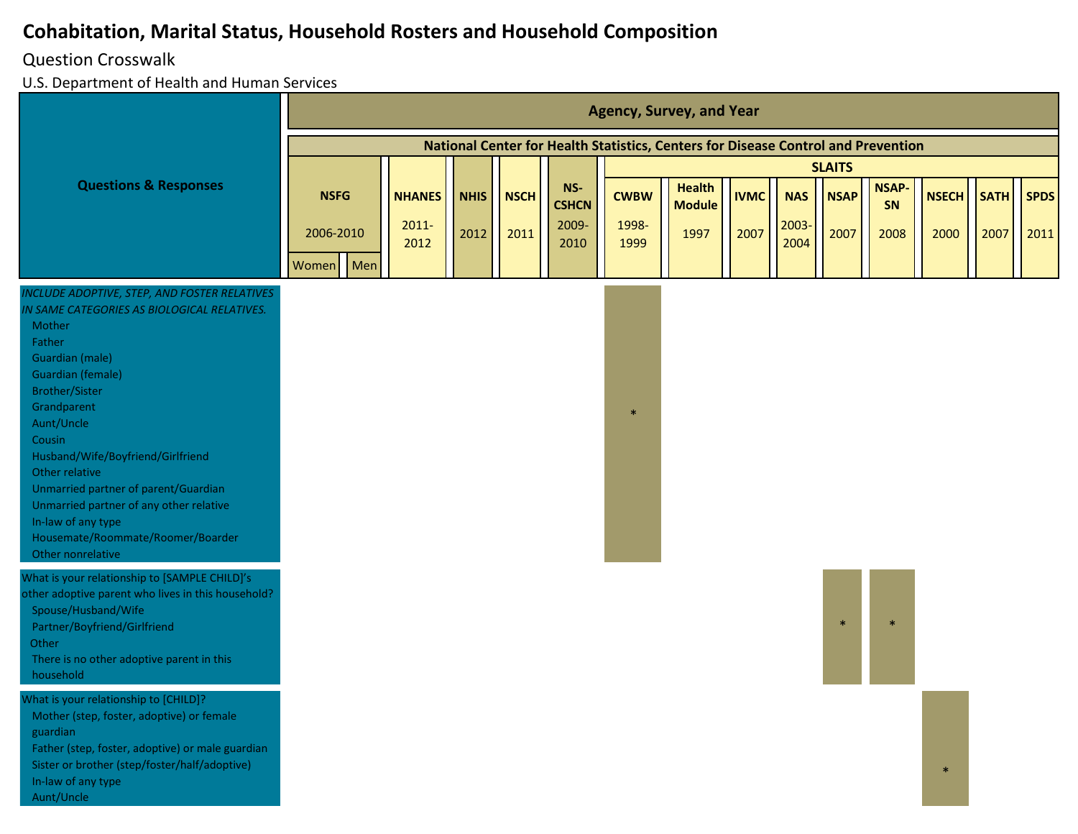## Question Crosswalk

|                                                                                                                                                                                                                                                                                                                                                                                                                                                                 |              |                  |             |             |                     |               | <b>Agency, Survey, and Year</b>                                                   |             |               |               |                    |              |             |             |
|-----------------------------------------------------------------------------------------------------------------------------------------------------------------------------------------------------------------------------------------------------------------------------------------------------------------------------------------------------------------------------------------------------------------------------------------------------------------|--------------|------------------|-------------|-------------|---------------------|---------------|-----------------------------------------------------------------------------------|-------------|---------------|---------------|--------------------|--------------|-------------|-------------|
|                                                                                                                                                                                                                                                                                                                                                                                                                                                                 |              |                  |             |             |                     |               | National Center for Health Statistics, Centers for Disease Control and Prevention |             |               |               |                    |              |             |             |
|                                                                                                                                                                                                                                                                                                                                                                                                                                                                 |              |                  |             |             |                     |               |                                                                                   |             |               | <b>SLAITS</b> |                    |              |             |             |
| <b>Questions &amp; Responses</b>                                                                                                                                                                                                                                                                                                                                                                                                                                | <b>NSFG</b>  | <b>NHANES</b>    | <b>NHIS</b> | <b>NSCH</b> | NS-<br><b>CSHCN</b> | <b>CWBW</b>   | <b>Health</b><br><b>Module</b>                                                    | <b>IVMC</b> | <b>NAS</b>    | <b>NSAP</b>   | <b>NSAP-</b><br>SN | <b>NSECH</b> | <b>SATH</b> | <b>SPDS</b> |
|                                                                                                                                                                                                                                                                                                                                                                                                                                                                 | 2006-2010    | $2011 -$<br>2012 | 2012        | 2011        | 2009-<br>2010       | 1998-<br>1999 | 1997                                                                              | 2007        | 2003-<br>2004 | 2007          | 2008               | 2000         | 2007        | 2011        |
|                                                                                                                                                                                                                                                                                                                                                                                                                                                                 | Men<br>Women |                  |             |             |                     |               |                                                                                   |             |               |               |                    |              |             |             |
| <b>INCLUDE ADOPTIVE, STEP, AND FOSTER RELATIVES</b><br>IN SAME CATEGORIES AS BIOLOGICAL RELATIVES.<br>Mother<br>Father<br>Guardian (male)<br><b>Guardian (female)</b><br><b>Brother/Sister</b><br>Grandparent<br>Aunt/Uncle<br>Cousin<br>Husband/Wife/Boyfriend/Girlfriend<br>Other relative<br>Unmarried partner of parent/Guardian<br>Unmarried partner of any other relative<br>In-law of any type<br>Housemate/Roommate/Roomer/Boarder<br>Other nonrelative |              |                  |             |             |                     | $\ast$        |                                                                                   |             |               |               |                    |              |             |             |
| What is your relationship to [SAMPLE CHILD]'s<br>other adoptive parent who lives in this household?<br>Spouse/Husband/Wife<br>Partner/Boyfriend/Girlfriend<br>Other<br>There is no other adoptive parent in this<br>household<br>What is your relationship to [CHILD]?                                                                                                                                                                                          |              |                  |             |             |                     |               |                                                                                   |             |               | $\ast$        |                    |              |             |             |
| Mother (step, foster, adoptive) or female<br>guardian<br>Father (step, foster, adoptive) or male guardian<br>Sister or brother (step/foster/half/adoptive)<br>In-law of any type<br>Aunt/Uncle                                                                                                                                                                                                                                                                  |              |                  |             |             |                     |               |                                                                                   |             |               |               |                    | $\ast$       |             |             |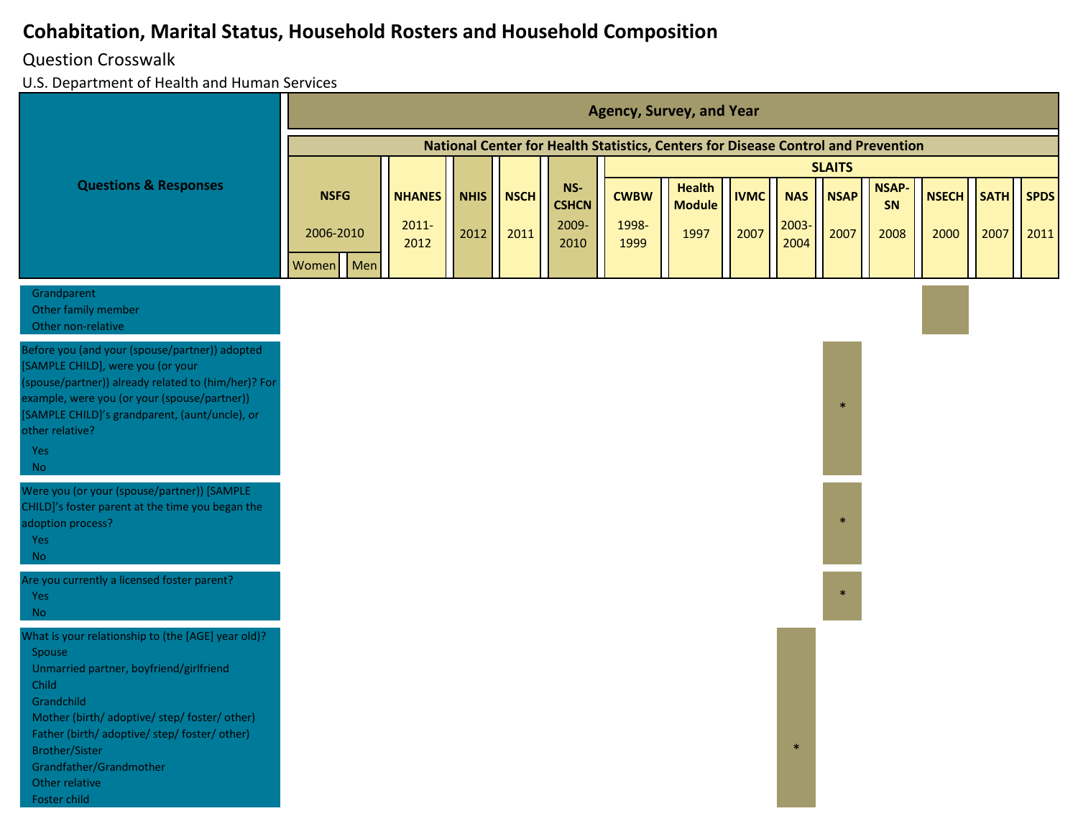#### Question Crosswalk

|                                                                                                                                                                                                                                                                                                                        |                    |     |                           |             |             |                              |                      | <b>Agency, Survey, and Year</b>                                                   |             |                     |               |                    |              |             |             |
|------------------------------------------------------------------------------------------------------------------------------------------------------------------------------------------------------------------------------------------------------------------------------------------------------------------------|--------------------|-----|---------------------------|-------------|-------------|------------------------------|----------------------|-----------------------------------------------------------------------------------|-------------|---------------------|---------------|--------------------|--------------|-------------|-------------|
|                                                                                                                                                                                                                                                                                                                        |                    |     |                           |             |             |                              |                      | National Center for Health Statistics, Centers for Disease Control and Prevention |             |                     |               |                    |              |             |             |
|                                                                                                                                                                                                                                                                                                                        |                    |     |                           |             |             |                              |                      |                                                                                   |             |                     | <b>SLAITS</b> |                    |              |             |             |
| <b>Questions &amp; Responses</b>                                                                                                                                                                                                                                                                                       | <b>NSFG</b>        |     | <b>NHANES</b><br>$2011 -$ | <b>NHIS</b> | <b>NSCH</b> | NS-<br><b>CSHCN</b><br>2009- | <b>CWBW</b><br>1998- | <b>Health</b><br><b>Module</b>                                                    | <b>IVMC</b> | <b>NAS</b><br>2003- | <b>NSAP</b>   | <b>NSAP-</b><br>SN | <b>NSECH</b> | <b>SATH</b> | <b>SPDS</b> |
|                                                                                                                                                                                                                                                                                                                        | 2006-2010<br>Women | Men | 2012                      | 2012        | 2011        | 2010                         | 1999                 | 1997                                                                              | 2007        | 2004                | 2007          | 2008               | 2000         | 2007        | 2011        |
| Grandparent<br>Other family member<br>Other non-relative                                                                                                                                                                                                                                                               |                    |     |                           |             |             |                              |                      |                                                                                   |             |                     |               |                    |              |             |             |
| Before you (and your (spouse/partner)) adopted<br>[SAMPLE CHILD], were you (or your<br>(spouse/partner)) already related to (him/her)? For<br>example, were you (or your (spouse/partner))<br>[SAMPLE CHILD]'s grandparent, (aunt/uncle), or<br>other relative?                                                        |                    |     |                           |             |             |                              |                      |                                                                                   |             |                     | $\ast$        |                    |              |             |             |
| Yes<br><b>No</b>                                                                                                                                                                                                                                                                                                       |                    |     |                           |             |             |                              |                      |                                                                                   |             |                     |               |                    |              |             |             |
| Were you (or your (spouse/partner)) [SAMPLE<br>CHILD]'s foster parent at the time you began the<br>adoption process?<br>Yes<br><b>No</b>                                                                                                                                                                               |                    |     |                           |             |             |                              |                      |                                                                                   |             |                     | $\ast$        |                    |              |             |             |
| Are you currently a licensed foster parent?<br>Yes<br><b>No</b>                                                                                                                                                                                                                                                        |                    |     |                           |             |             |                              |                      |                                                                                   |             |                     | $\ast$        |                    |              |             |             |
| What is your relationship to (the [AGE] year old)?<br>Spouse<br>Unmarried partner, boyfriend/girlfriend<br>Child<br>Grandchild<br>Mother (birth/ adoptive/ step/ foster/ other)<br>Father (birth/ adoptive/ step/ foster/ other)<br><b>Brother/Sister</b><br>Grandfather/Grandmother<br>Other relative<br>Foster child |                    |     |                           |             |             |                              |                      |                                                                                   |             | $\ast$              |               |                    |              |             |             |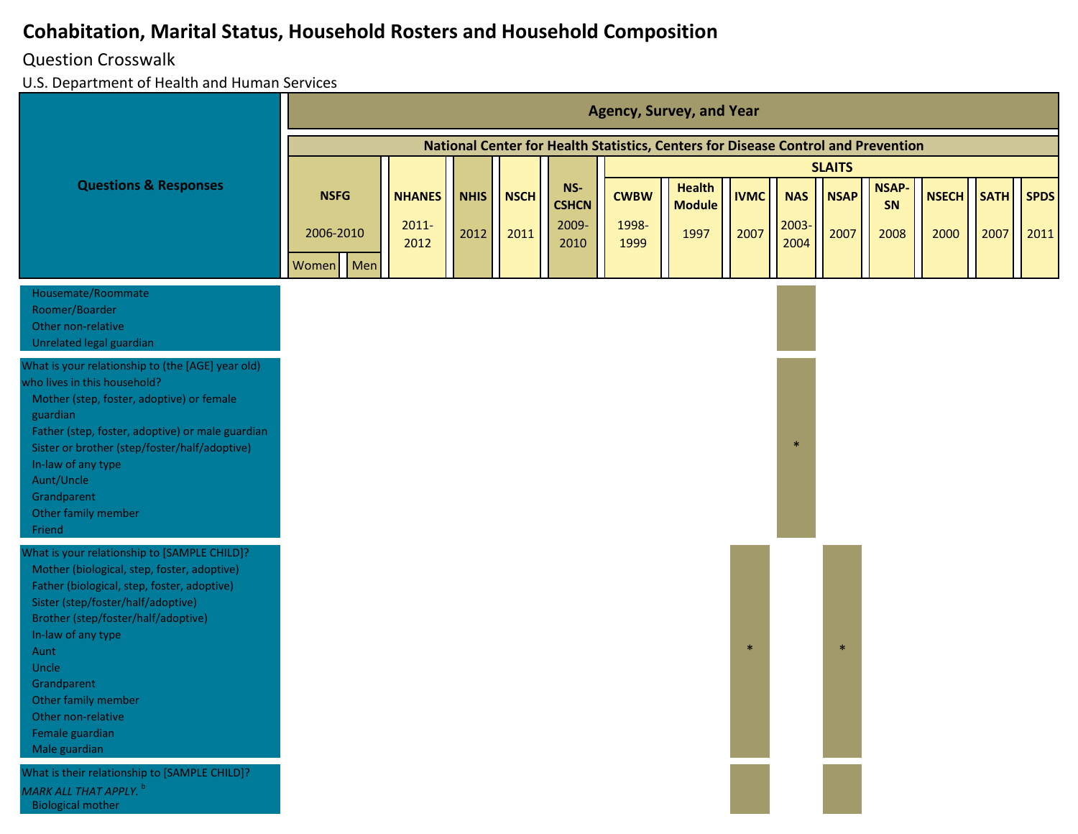#### Question Crosswalk

|                                                                                                                                                                                                                                                                                                                                                                |             |                  |             |             |                     |               | <b>Agency, Survey, and Year</b>                                                   |             |               |               |                    |              |             |             |
|----------------------------------------------------------------------------------------------------------------------------------------------------------------------------------------------------------------------------------------------------------------------------------------------------------------------------------------------------------------|-------------|------------------|-------------|-------------|---------------------|---------------|-----------------------------------------------------------------------------------|-------------|---------------|---------------|--------------------|--------------|-------------|-------------|
|                                                                                                                                                                                                                                                                                                                                                                |             |                  |             |             |                     |               | National Center for Health Statistics, Centers for Disease Control and Prevention |             |               |               |                    |              |             |             |
|                                                                                                                                                                                                                                                                                                                                                                |             |                  |             |             |                     |               |                                                                                   |             |               | <b>SLAITS</b> |                    |              |             |             |
| <b>Questions &amp; Responses</b>                                                                                                                                                                                                                                                                                                                               | <b>NSFG</b> | <b>NHANES</b>    | <b>NHIS</b> | <b>NSCH</b> | NS-<br><b>CSHCN</b> | <b>CWBW</b>   | <b>Health</b><br><b>Module</b>                                                    | <b>IVMC</b> | <b>NAS</b>    | <b>NSAP</b>   | <b>NSAP-</b><br>SN | <b>NSECH</b> | <b>SATH</b> | <b>SPDS</b> |
|                                                                                                                                                                                                                                                                                                                                                                | 2006-2010   | $2011 -$<br>2012 | 2012        | 2011        | 2009-<br>2010       | 1998-<br>1999 | 1997                                                                              | 2007        | 2003-<br>2004 | 2007          | 2008               | 2000         | 2007        | 2011        |
|                                                                                                                                                                                                                                                                                                                                                                | Women Men   |                  |             |             |                     |               |                                                                                   |             |               |               |                    |              |             |             |
| Housemate/Roommate<br>Roomer/Boarder<br>Other non-relative<br>Unrelated legal guardian                                                                                                                                                                                                                                                                         |             |                  |             |             |                     |               |                                                                                   |             |               |               |                    |              |             |             |
| What is your relationship to (the [AGE] year old)<br>who lives in this household?<br>Mother (step, foster, adoptive) or female<br>guardian<br>Father (step, foster, adoptive) or male guardian<br>Sister or brother (step/foster/half/adoptive)<br>In-law of any type<br>Aunt/Uncle<br>Grandparent<br>Other family member<br>Friend                            |             |                  |             |             |                     |               |                                                                                   |             | $\ast$        |               |                    |              |             |             |
| What is your relationship to [SAMPLE CHILD]?<br>Mother (biological, step, foster, adoptive)<br>Father (biological, step, foster, adoptive)<br>Sister (step/foster/half/adoptive)<br>Brother (step/foster/half/adoptive)<br>In-law of any type<br>Aunt<br>Uncle<br>Grandparent<br>Other family member<br>Other non-relative<br>Female guardian<br>Male guardian |             |                  |             |             |                     |               |                                                                                   | $\ast$      |               | $\ast$        |                    |              |             |             |
| What is their relationship to [SAMPLE CHILD]?<br>MARK ALL THAT APPLY. b<br><b>Biological mother</b>                                                                                                                                                                                                                                                            |             |                  |             |             |                     |               |                                                                                   |             |               |               |                    |              |             |             |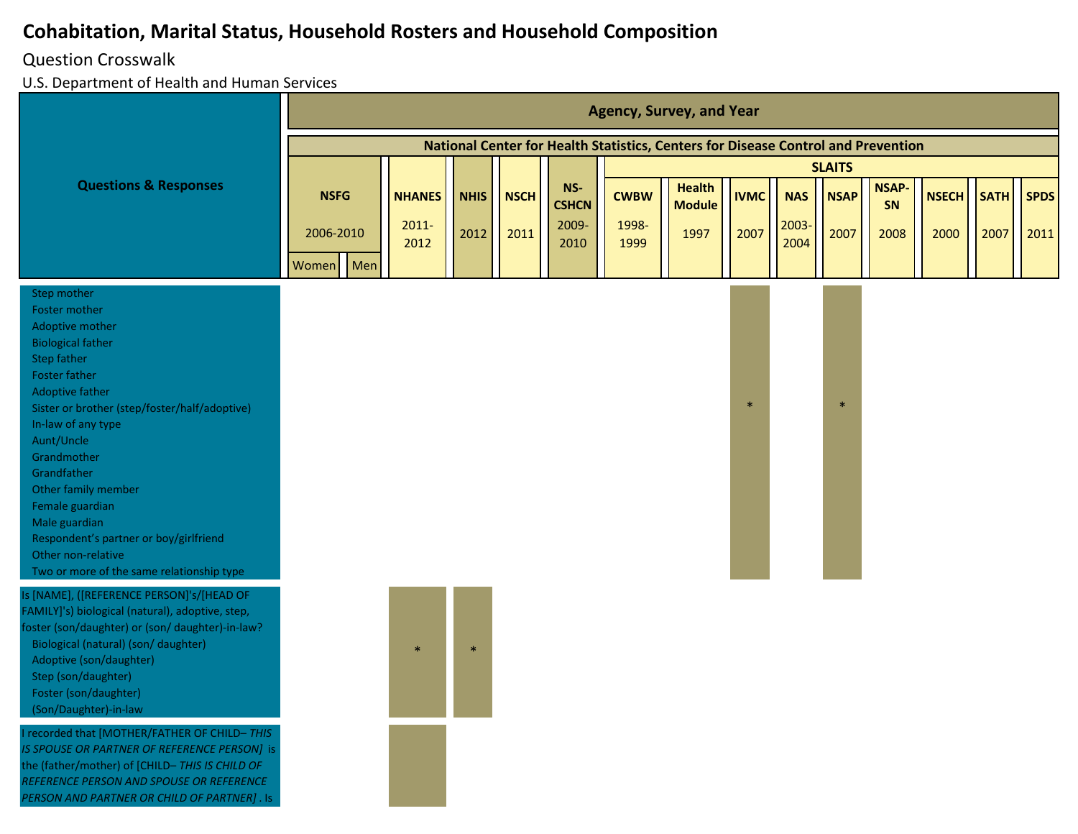## Question Crosswalk

U.S. Department of Health and Human Services

*PERSON AND PARTNER OR CHILD OF PARTNER]* . Is

|                                                                                                                                                                                                                                                                                                                                                                                                                                                |              |                  |             |             |                     |               | <b>Agency, Survey, and Year</b>                                                   |             |               |               |                   |              |             |             |
|------------------------------------------------------------------------------------------------------------------------------------------------------------------------------------------------------------------------------------------------------------------------------------------------------------------------------------------------------------------------------------------------------------------------------------------------|--------------|------------------|-------------|-------------|---------------------|---------------|-----------------------------------------------------------------------------------|-------------|---------------|---------------|-------------------|--------------|-------------|-------------|
|                                                                                                                                                                                                                                                                                                                                                                                                                                                |              |                  |             |             |                     |               | National Center for Health Statistics, Centers for Disease Control and Prevention |             |               |               |                   |              |             |             |
|                                                                                                                                                                                                                                                                                                                                                                                                                                                |              |                  |             |             |                     |               |                                                                                   |             |               | <b>SLAITS</b> |                   |              |             |             |
| <b>Questions &amp; Responses</b>                                                                                                                                                                                                                                                                                                                                                                                                               | <b>NSFG</b>  | <b>NHANES</b>    | <b>NHIS</b> | <b>NSCH</b> | NS-<br><b>CSHCN</b> | <b>CWBW</b>   | <b>Health</b><br><b>Module</b>                                                    | <b>IVMC</b> | <b>NAS</b>    | <b>NSAP</b>   | <b>NSAP</b><br>SN | <b>NSECH</b> | <b>SATH</b> | <b>SPDS</b> |
|                                                                                                                                                                                                                                                                                                                                                                                                                                                | 2006-2010    | $2011 -$<br>2012 | 2012        | 2011        | 2009-<br>2010       | 1998-<br>1999 | 1997                                                                              | 2007        | 2003-<br>2004 | 2007          | 2008              | 2000         | 2007        | 2011        |
|                                                                                                                                                                                                                                                                                                                                                                                                                                                | Men<br>Women |                  |             |             |                     |               |                                                                                   |             |               |               |                   |              |             |             |
| Step mother<br>Foster mother<br>Adoptive mother<br><b>Biological father</b><br><b>Step father</b><br><b>Foster father</b><br><b>Adoptive father</b><br>Sister or brother (step/foster/half/adoptive)<br>In-law of any type<br>Aunt/Uncle<br>Grandmother<br>Grandfather<br>Other family member<br>Female guardian<br>Male guardian<br>Respondent's partner or boy/girlfriend<br>Other non-relative<br>Two or more of the same relationship type |              |                  |             |             |                     |               |                                                                                   | $\ast$      |               | $\ast$        |                   |              |             |             |
| Is [NAME], ([REFERENCE PERSON]'s/[HEAD OF<br>FAMILY]'s) biological (natural), adoptive, step,<br>foster (son/daughter) or (son/ daughter)-in-law?<br>Biological (natural) (son/ daughter)<br>Adoptive (son/daughter)<br>Step (son/daughter)<br>Foster (son/daughter)<br>(Son/Daughter)-in-law                                                                                                                                                  |              | $\ast$           | $\ast$      |             |                     |               |                                                                                   |             |               |               |                   |              |             |             |
| I recorded that [MOTHER/FATHER OF CHILD-THIS<br>IS SPOUSE OR PARTNER OF REFERENCE PERSON] is<br>the (father/mother) of [CHILD-THIS IS CHILD OF<br>REFERENCE PERSON AND SPOUSE OR REFERENCE                                                                                                                                                                                                                                                     |              |                  |             |             |                     |               |                                                                                   |             |               |               |                   |              |             |             |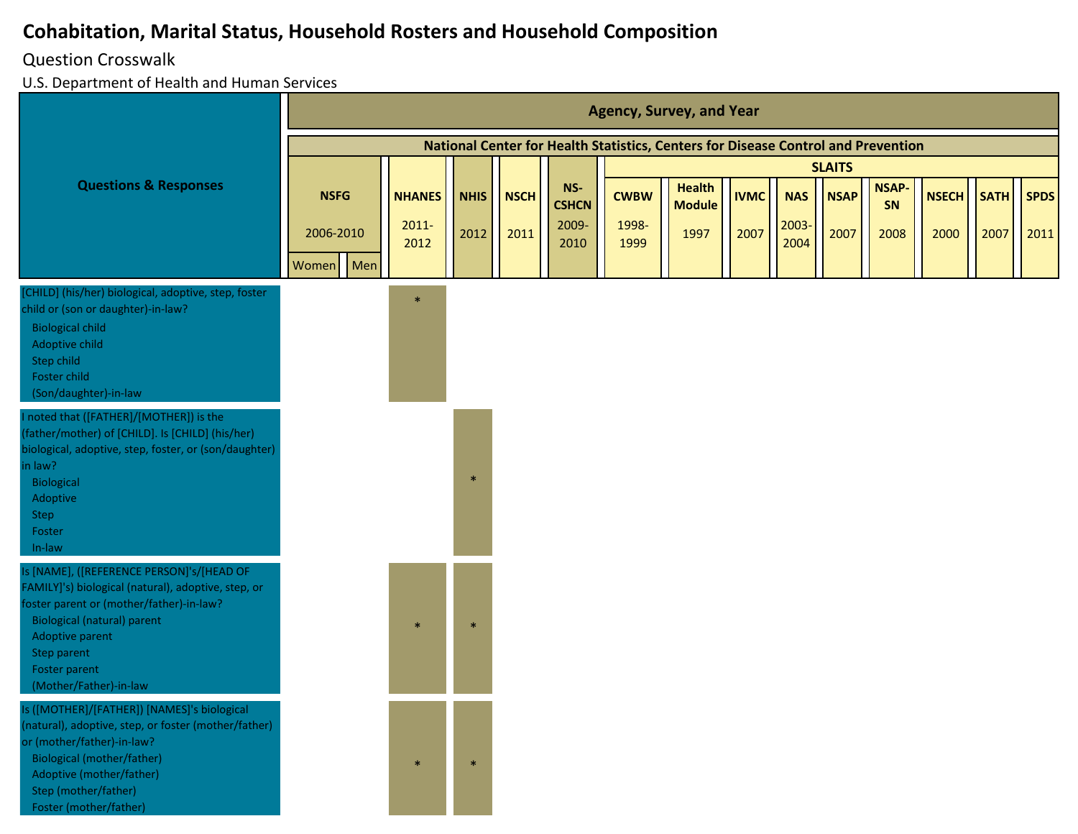#### Question Crosswalk

|                                                                                                                                                                                                                                                                 | <b>Agency, Survey, and Year</b><br>National Center for Health Statistics, Centers for Disease Control and Prevention |                                   |                     |                     |                                      |                              |                                        |                     |                             |                     |                            |                      |                     |                     |
|-----------------------------------------------------------------------------------------------------------------------------------------------------------------------------------------------------------------------------------------------------------------|----------------------------------------------------------------------------------------------------------------------|-----------------------------------|---------------------|---------------------|--------------------------------------|------------------------------|----------------------------------------|---------------------|-----------------------------|---------------------|----------------------------|----------------------|---------------------|---------------------|
|                                                                                                                                                                                                                                                                 |                                                                                                                      |                                   |                     |                     |                                      |                              |                                        |                     |                             |                     |                            |                      |                     |                     |
|                                                                                                                                                                                                                                                                 |                                                                                                                      |                                   |                     |                     |                                      |                              |                                        |                     |                             | <b>SLAITS</b>       |                            |                      |                     |                     |
| <b>Questions &amp; Responses</b>                                                                                                                                                                                                                                | <b>NSFG</b><br>2006-2010<br>Men<br>Women                                                                             | <b>NHANES</b><br>$2011 -$<br>2012 | <b>NHIS</b><br>2012 | <b>NSCH</b><br>2011 | NS-<br><b>CSHCN</b><br>2009-<br>2010 | <b>CWBW</b><br>1998-<br>1999 | <b>Health</b><br><b>Module</b><br>1997 | <b>IVMC</b><br>2007 | <b>NAS</b><br>2003-<br>2004 | <b>NSAP</b><br>2007 | <b>NSAP-</b><br>SN<br>2008 | <b>NSECH</b><br>2000 | <b>SATH</b><br>2007 | <b>SPDS</b><br>2011 |
| [CHILD] (his/her) biological, adoptive, step, foster<br>child or (son or daughter)-in-law?<br><b>Biological child</b><br>Adoptive child<br>Step child<br>Foster child<br>(Son/daughter)-in-law                                                                  |                                                                                                                      | $\ast$                            |                     |                     |                                      |                              |                                        |                     |                             |                     |                            |                      |                     |                     |
| noted that ([FATHER]/[MOTHER]) is the<br>(father/mother) of [CHILD]. Is [CHILD] (his/her)<br>biological, adoptive, step, foster, or (son/daughter)<br>in law?<br>Biological<br>Adoptive<br>Step<br>Foster<br>In-law                                             |                                                                                                                      |                                   | $\ast$              |                     |                                      |                              |                                        |                     |                             |                     |                            |                      |                     |                     |
| Is [NAME], ([REFERENCE PERSON]'s/[HEAD OF<br>FAMILY]'s) biological (natural), adoptive, step, or<br>foster parent or (mother/father)-in-law?<br><b>Biological (natural) parent</b><br>Adoptive parent<br>Step parent<br>Foster parent<br>(Mother/Father)-in-law |                                                                                                                      | $\ast$                            | $\ast$              |                     |                                      |                              |                                        |                     |                             |                     |                            |                      |                     |                     |
| Is ([MOTHER]/[FATHER]) [NAMES]'s biological<br>(natural), adoptive, step, or foster (mother/father)<br>or (mother/father)-in-law?<br><b>Biological (mother/father)</b><br>Adoptive (mother/father)<br>Step (mother/father)<br>Foster (mother/father)            |                                                                                                                      | $\ast$                            | $\ast$              |                     |                                      |                              |                                        |                     |                             |                     |                            |                      |                     |                     |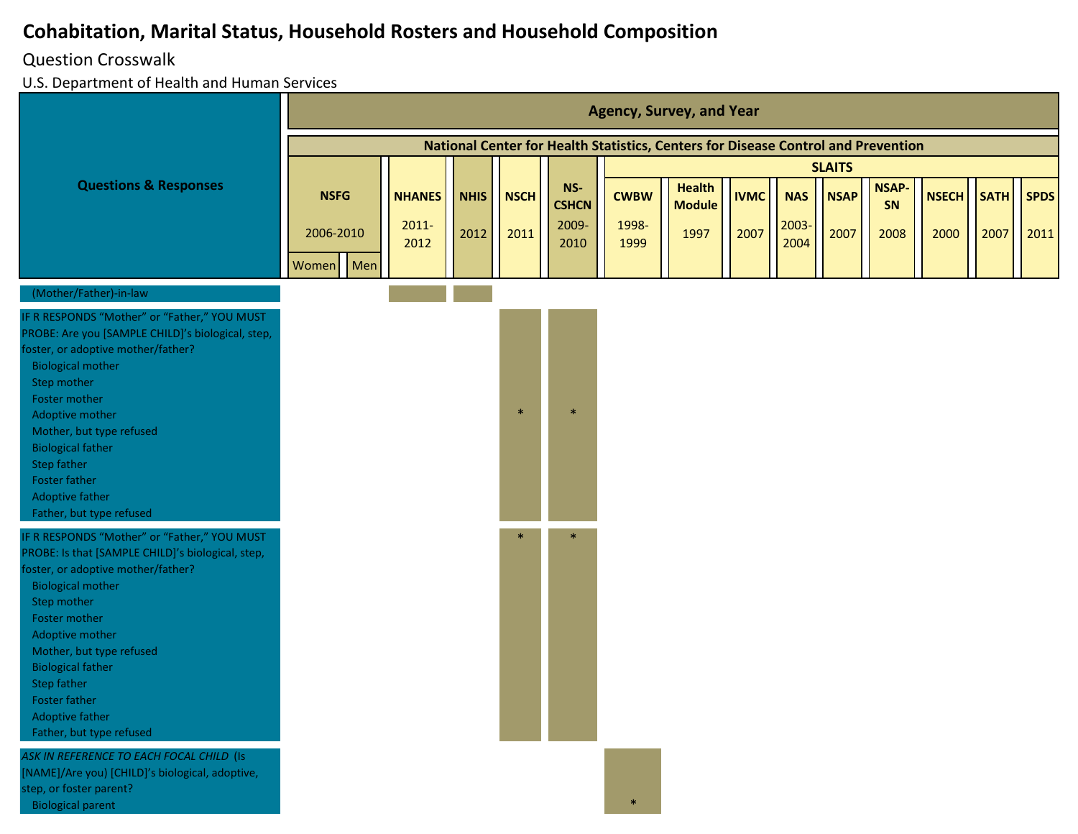#### Question Crosswalk

|                                                                                                                                                                                                                                                                                                                                                                      |                                       |                                   |                     |                     |                                      |                              | <b>Agency, Survey, and Year</b>                                                   |                     |                             |                     |                            |                      |                     |                     |
|----------------------------------------------------------------------------------------------------------------------------------------------------------------------------------------------------------------------------------------------------------------------------------------------------------------------------------------------------------------------|---------------------------------------|-----------------------------------|---------------------|---------------------|--------------------------------------|------------------------------|-----------------------------------------------------------------------------------|---------------------|-----------------------------|---------------------|----------------------------|----------------------|---------------------|---------------------|
|                                                                                                                                                                                                                                                                                                                                                                      |                                       |                                   |                     |                     |                                      |                              | National Center for Health Statistics, Centers for Disease Control and Prevention |                     |                             |                     |                            |                      |                     |                     |
|                                                                                                                                                                                                                                                                                                                                                                      |                                       |                                   |                     |                     |                                      |                              |                                                                                   |                     |                             | <b>SLAITS</b>       |                            |                      |                     |                     |
| <b>Questions &amp; Responses</b>                                                                                                                                                                                                                                                                                                                                     | <b>NSFG</b><br>2006-2010<br>Women Men | <b>NHANES</b><br>$2011 -$<br>2012 | <b>NHIS</b><br>2012 | <b>NSCH</b><br>2011 | NS-<br><b>CSHCN</b><br>2009-<br>2010 | <b>CWBW</b><br>1998-<br>1999 | <b>Health</b><br><b>Module</b><br>1997                                            | <b>IVMC</b><br>2007 | <b>NAS</b><br>2003-<br>2004 | <b>NSAP</b><br>2007 | <b>NSAP-</b><br>SN<br>2008 | <b>NSECH</b><br>2000 | <b>SATH</b><br>2007 | <b>SPDS</b><br>2011 |
| (Mother/Father)-in-law                                                                                                                                                                                                                                                                                                                                               |                                       |                                   |                     |                     |                                      |                              |                                                                                   |                     |                             |                     |                            |                      |                     |                     |
| IF R RESPONDS "Mother" or "Father," YOU MUST<br>PROBE: Are you [SAMPLE CHILD]'s biological, step,<br>foster, or adoptive mother/father?<br><b>Biological mother</b><br>Step mother<br>Foster mother<br>Adoptive mother<br>Mother, but type refused<br><b>Biological father</b><br>Step father<br>Foster father<br>Adoptive father<br>Father, but type refused        |                                       |                                   |                     | $\ast$              | $\ast$                               |                              |                                                                                   |                     |                             |                     |                            |                      |                     |                     |
| IF R RESPONDS "Mother" or "Father," YOU MUST<br>PROBE: Is that [SAMPLE CHILD]'s biological, step,<br>foster, or adoptive mother/father?<br><b>Biological mother</b><br>Step mother<br>Foster mother<br>Adoptive mother<br>Mother, but type refused<br><b>Biological father</b><br><b>Step father</b><br>Foster father<br>Adoptive father<br>Father, but type refused |                                       |                                   |                     | $\ast$              |                                      |                              |                                                                                   |                     |                             |                     |                            |                      |                     |                     |
| ASK IN REFERENCE TO EACH FOCAL CHILD (Is<br>[NAME]/Are you) [CHILD]'s biological, adoptive,<br>step, or foster parent?<br><b>Biological parent</b>                                                                                                                                                                                                                   |                                       |                                   |                     |                     |                                      | $\ast$                       |                                                                                   |                     |                             |                     |                            |                      |                     |                     |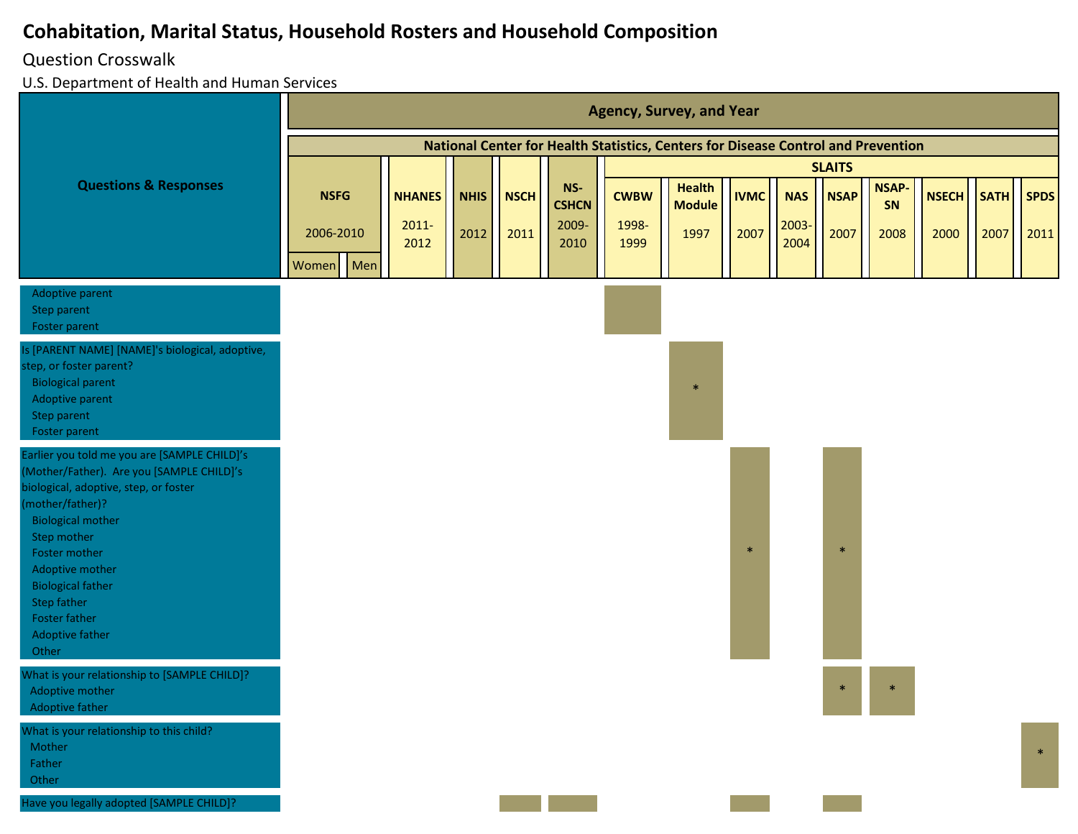#### Question Crosswalk

|                                                                                                                                                                                                                                                                                                                                             |                        |                           |             |             |                              |                      | <b>Agency, Survey, and Year</b>                                                   |               |                     |               |                    |              |             |             |
|---------------------------------------------------------------------------------------------------------------------------------------------------------------------------------------------------------------------------------------------------------------------------------------------------------------------------------------------|------------------------|---------------------------|-------------|-------------|------------------------------|----------------------|-----------------------------------------------------------------------------------|---------------|---------------------|---------------|--------------------|--------------|-------------|-------------|
|                                                                                                                                                                                                                                                                                                                                             |                        |                           |             |             |                              |                      | National Center for Health Statistics, Centers for Disease Control and Prevention |               |                     |               |                    |              |             |             |
|                                                                                                                                                                                                                                                                                                                                             |                        |                           |             |             |                              |                      |                                                                                   |               |                     | <b>SLAITS</b> |                    |              |             |             |
| <b>Questions &amp; Responses</b>                                                                                                                                                                                                                                                                                                            | <b>NSFG</b>            | <b>NHANES</b><br>$2011 -$ | <b>NHIS</b> | <b>NSCH</b> | NS-<br><b>CSHCN</b><br>2009- | <b>CWBW</b><br>1998- | <b>Health</b><br><b>Module</b>                                                    | <b>IVMC</b>   | <b>NAS</b><br>2003- | <b>NSAP</b>   | <b>NSAP-</b><br>SN | <b>NSECH</b> | <b>SATH</b> | <b>SPDS</b> |
|                                                                                                                                                                                                                                                                                                                                             | 2006-2010<br>Women Men | 2012                      | 2012        | 2011        | 2010                         | 1999                 | 1997                                                                              | 2007          | 2004                | 2007          | 2008               | 2000         | 2007        | 2011        |
| Adoptive parent<br>Step parent<br>Foster parent                                                                                                                                                                                                                                                                                             |                        |                           |             |             |                              |                      |                                                                                   |               |                     |               |                    |              |             |             |
| Is [PARENT NAME] [NAME]'s biological, adoptive,<br>step, or foster parent?<br><b>Biological parent</b><br>Adoptive parent<br>Step parent<br>Foster parent                                                                                                                                                                                   |                        |                           |             |             |                              |                      | $\frac{1}{2}$                                                                     |               |                     |               |                    |              |             |             |
| Earlier you told me you are [SAMPLE CHILD]'s<br>(Mother/Father). Are you [SAMPLE CHILD]'s<br>biological, adoptive, step, or foster<br>(mother/father)?<br><b>Biological mother</b><br>Step mother<br>Foster mother<br>Adoptive mother<br><b>Biological father</b><br><b>Step father</b><br><b>Foster father</b><br>Adoptive father<br>Other |                        |                           |             |             |                              |                      |                                                                                   | $\mathcal{A}$ |                     | $\ast$        |                    |              |             |             |
| What is your relationship to [SAMPLE CHILD]?<br>Adoptive mother<br>Adoptive father                                                                                                                                                                                                                                                          |                        |                           |             |             |                              |                      |                                                                                   |               |                     | $\ast$        | $\ast$             |              |             |             |
| What is your relationship to this child?<br>Mother<br>Father<br>Other                                                                                                                                                                                                                                                                       |                        |                           |             |             |                              |                      |                                                                                   |               |                     |               |                    |              |             | $\ast$      |
| Have you legally adopted [SAMPLE CHILD]?                                                                                                                                                                                                                                                                                                    |                        |                           |             |             |                              |                      |                                                                                   |               |                     |               |                    |              |             |             |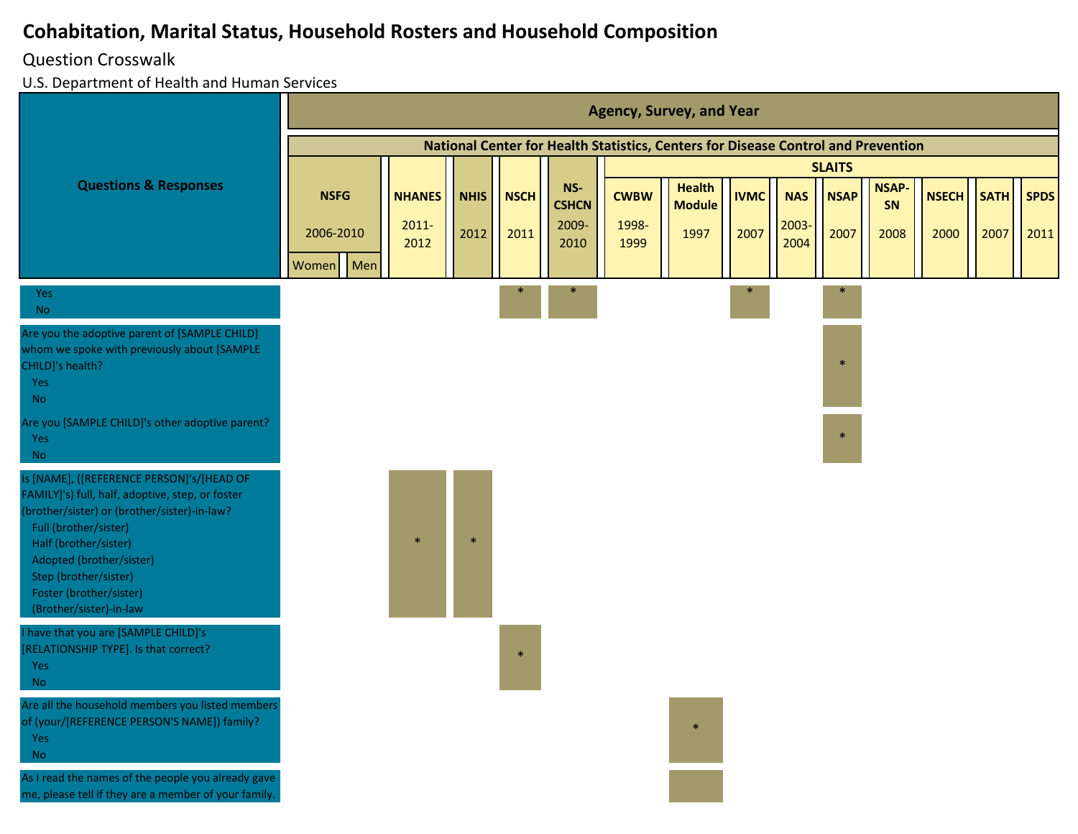#### Question Crosswalk

|                                                                                                                                                                                                                                                                                                            |                          |     |                                   |                     |                     |                                      |                              | <b>Agency, Survey, and Year</b>                                                   |                     |                             |                     |                            |                      |                     |                     |
|------------------------------------------------------------------------------------------------------------------------------------------------------------------------------------------------------------------------------------------------------------------------------------------------------------|--------------------------|-----|-----------------------------------|---------------------|---------------------|--------------------------------------|------------------------------|-----------------------------------------------------------------------------------|---------------------|-----------------------------|---------------------|----------------------------|----------------------|---------------------|---------------------|
|                                                                                                                                                                                                                                                                                                            |                          |     |                                   |                     |                     |                                      |                              | National Center for Health Statistics, Centers for Disease Control and Prevention |                     |                             |                     |                            |                      |                     |                     |
|                                                                                                                                                                                                                                                                                                            |                          |     |                                   |                     |                     |                                      |                              |                                                                                   |                     |                             | <b>SLAITS</b>       |                            |                      |                     |                     |
| <b>Questions &amp; Responses</b>                                                                                                                                                                                                                                                                           | <b>NSFG</b><br>2006-2010 |     | <b>NHANES</b><br>$2011 -$<br>2012 | <b>NHIS</b><br>2012 | <b>NSCH</b><br>2011 | NS-<br><b>CSHCN</b><br>2009-<br>2010 | <b>CWBW</b><br>1998-<br>1999 | <b>Health</b><br><b>Module</b><br>1997                                            | <b>IVMC</b><br>2007 | <b>NAS</b><br>2003-<br>2004 | <b>NSAP</b><br>2007 | <b>NSAP-</b><br>SN<br>2008 | <b>NSECH</b><br>2000 | <b>SATH</b><br>2007 | <b>SPDS</b><br>2011 |
|                                                                                                                                                                                                                                                                                                            | Women                    | Men |                                   |                     |                     |                                      |                              |                                                                                   |                     |                             |                     |                            |                      |                     |                     |
| Yes<br><b>No</b>                                                                                                                                                                                                                                                                                           |                          |     |                                   |                     |                     |                                      |                              |                                                                                   |                     |                             |                     |                            |                      |                     |                     |
| Are you the adoptive parent of [SAMPLE CHILD]<br>whom we spoke with previously about [SAMPLE<br>CHILD]'s health?<br>Yes<br><b>No</b>                                                                                                                                                                       |                          |     |                                   |                     |                     |                                      |                              |                                                                                   |                     |                             | $\ast$              |                            |                      |                     |                     |
| Are you [SAMPLE CHILD]'s other adoptive parent?<br>Yes<br><b>No</b>                                                                                                                                                                                                                                        |                          |     |                                   |                     |                     |                                      |                              |                                                                                   |                     |                             | $\ast$              |                            |                      |                     |                     |
| Is [NAME], ([REFERENCE PERSON]'s/[HEAD OF<br>FAMILY]'s) full, half, adoptive, step, or foster<br>(brother/sister) or (brother/sister)-in-law?<br>Full (brother/sister)<br>Half (brother/sister)<br>Adopted (brother/sister)<br>Step (brother/sister)<br>Foster (brother/sister)<br>(Brother/sister)-in-law |                          |     | $\ast$                            |                     |                     |                                      |                              |                                                                                   |                     |                             |                     |                            |                      |                     |                     |
| I have that you are [SAMPLE CHILD]'s<br>[RELATIONSHIP TYPE]. Is that correct?<br>Yes<br><b>No</b>                                                                                                                                                                                                          |                          |     |                                   |                     | $\ast$              |                                      |                              |                                                                                   |                     |                             |                     |                            |                      |                     |                     |
| Are all the household members you listed members<br>of (your/[REFERENCE PERSON'S NAME]) family?<br>Yes<br><b>No</b>                                                                                                                                                                                        |                          |     |                                   |                     |                     |                                      |                              | $\ast$                                                                            |                     |                             |                     |                            |                      |                     |                     |
| As I read the names of the people you already gave<br>me, please tell if they are a member of your family.                                                                                                                                                                                                 |                          |     |                                   |                     |                     |                                      |                              |                                                                                   |                     |                             |                     |                            |                      |                     |                     |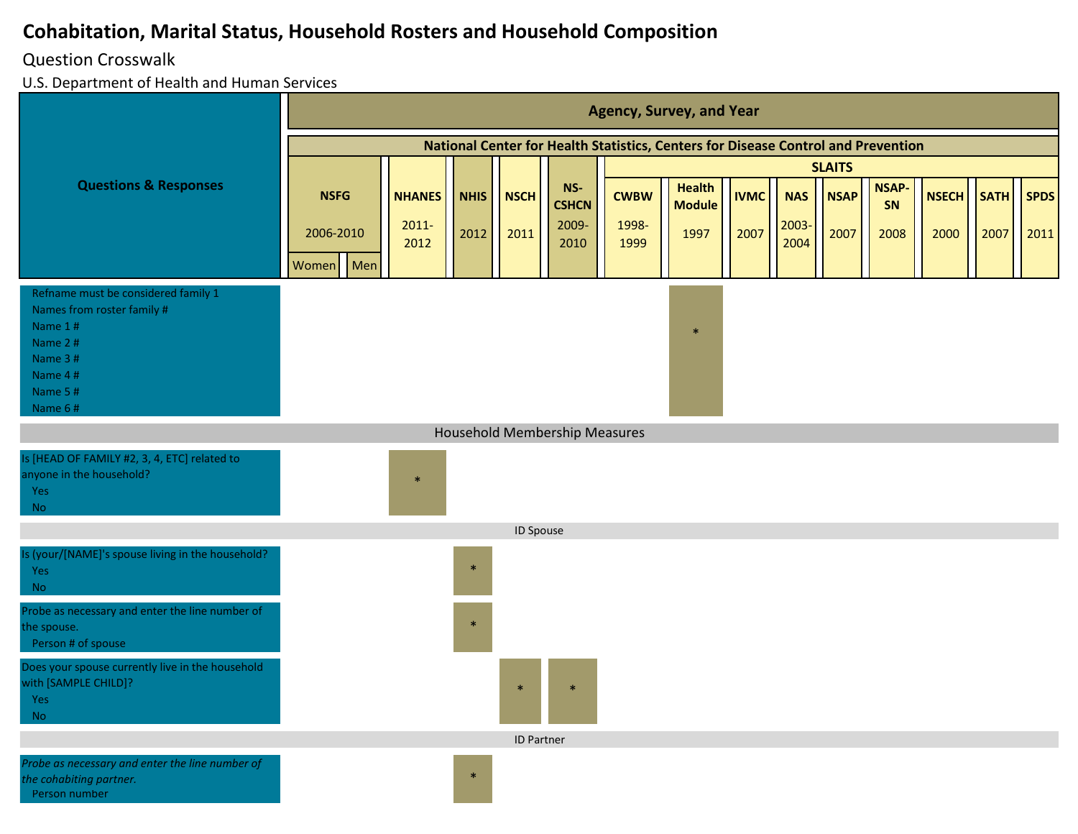#### Question Crosswalk

|                                                                                                                                     |             |                  |             |                   |                                      |               | <b>Agency, Survey, and Year</b>                                                   |             |               |               |                    |              |             |             |
|-------------------------------------------------------------------------------------------------------------------------------------|-------------|------------------|-------------|-------------------|--------------------------------------|---------------|-----------------------------------------------------------------------------------|-------------|---------------|---------------|--------------------|--------------|-------------|-------------|
|                                                                                                                                     |             |                  |             |                   |                                      |               | National Center for Health Statistics, Centers for Disease Control and Prevention |             |               |               |                    |              |             |             |
|                                                                                                                                     |             |                  |             |                   |                                      |               |                                                                                   |             |               | <b>SLAITS</b> |                    |              |             |             |
| <b>Questions &amp; Responses</b>                                                                                                    | <b>NSFG</b> | <b>NHANES</b>    | <b>NHIS</b> | <b>NSCH</b>       | NS-<br><b>CSHCN</b>                  | <b>CWBW</b>   | <b>Health</b><br><b>Module</b>                                                    | <b>IVMC</b> | <b>NAS</b>    | <b>NSAP</b>   | <b>NSAP-</b><br>SN | <b>NSECH</b> | <b>SATH</b> | <b>SPDS</b> |
|                                                                                                                                     | 2006-2010   | $2011 -$<br>2012 | 2012        | 2011              | 2009-<br>2010                        | 1998-<br>1999 | 1997                                                                              | 2007        | 2003-<br>2004 | 2007          | 2008               | 2000         | 2007        | 2011        |
|                                                                                                                                     | Women Men   |                  |             |                   |                                      |               |                                                                                   |             |               |               |                    |              |             |             |
| Refname must be considered family 1<br>Names from roster family #<br>Name 1#<br>Name 2#<br>Name 3#<br>Name 4#<br>Name 5#<br>Name 6# |             |                  |             |                   |                                      |               | $\ast$                                                                            |             |               |               |                    |              |             |             |
|                                                                                                                                     |             |                  |             |                   | <b>Household Membership Measures</b> |               |                                                                                   |             |               |               |                    |              |             |             |
| Is [HEAD OF FAMILY #2, 3, 4, ETC] related to<br>anyone in the household?<br>Yes<br><b>No</b>                                        |             | $\ast$           |             |                   |                                      |               |                                                                                   |             |               |               |                    |              |             |             |
|                                                                                                                                     |             |                  |             | ID Spouse         |                                      |               |                                                                                   |             |               |               |                    |              |             |             |
| Is (your/[NAME]'s spouse living in the household?<br>Yes<br><b>No</b>                                                               |             |                  | $\ast$      |                   |                                      |               |                                                                                   |             |               |               |                    |              |             |             |
| Probe as necessary and enter the line number of<br>the spouse.<br>Person # of spouse                                                |             |                  | $\ast$      |                   |                                      |               |                                                                                   |             |               |               |                    |              |             |             |
| Does your spouse currently live in the household<br>with [SAMPLE CHILD]?<br>Yes -<br><b>No</b>                                      |             |                  |             |                   |                                      |               |                                                                                   |             |               |               |                    |              |             |             |
|                                                                                                                                     |             |                  |             | <b>ID Partner</b> |                                      |               |                                                                                   |             |               |               |                    |              |             |             |
| Probe as necessary and enter the line number of<br>the cohabiting partner.<br>Person number                                         |             |                  | $\ast$      |                   |                                      |               |                                                                                   |             |               |               |                    |              |             |             |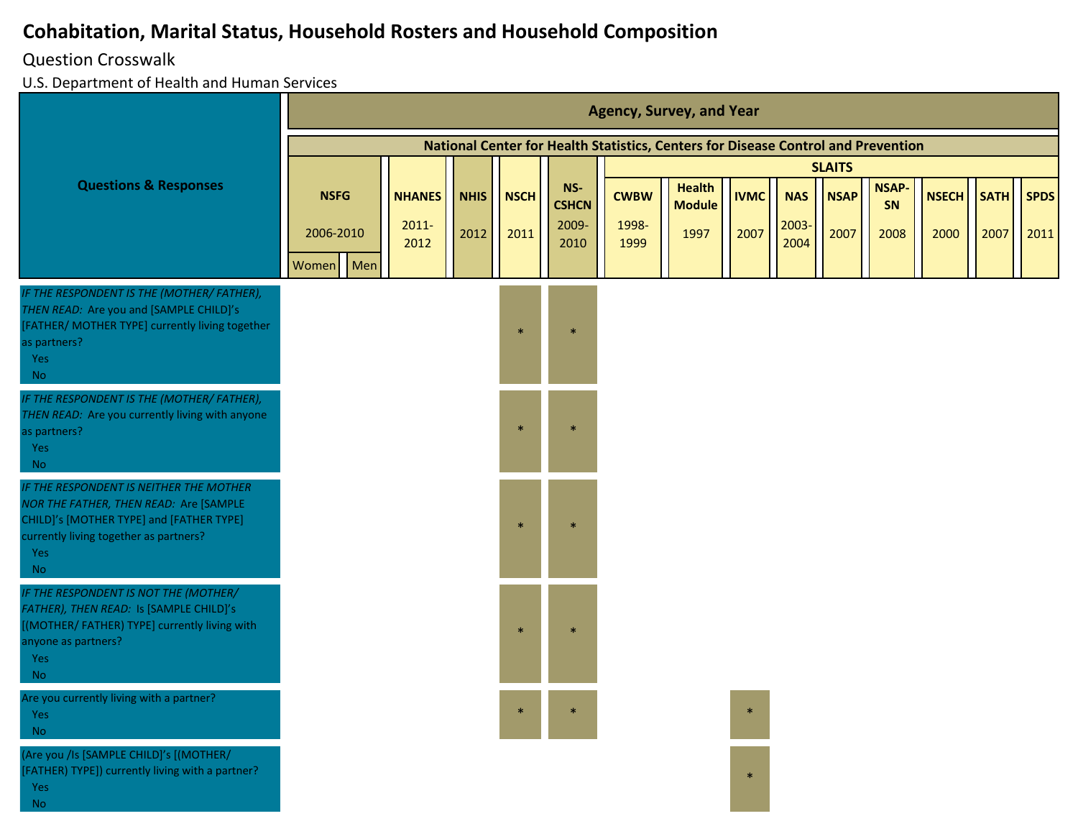#### Question Crosswalk

U.S. Department of Health and Human Services

|                                                                                                                                                                                             |                        |                  |             |              |                               |               | <b>Agency, Survey, and Year</b>                                                   |             |               |                              |              |            |      |             |
|---------------------------------------------------------------------------------------------------------------------------------------------------------------------------------------------|------------------------|------------------|-------------|--------------|-------------------------------|---------------|-----------------------------------------------------------------------------------|-------------|---------------|------------------------------|--------------|------------|------|-------------|
|                                                                                                                                                                                             |                        |                  |             |              |                               |               | National Center for Health Statistics, Centers for Disease Control and Prevention |             |               |                              |              |            |      |             |
| <b>Questions &amp; Responses</b>                                                                                                                                                            | <b>NSFG</b>            | <b>NHANES</b>    | <b>NHIS</b> | <b>NSCH</b>  | NS-                           | <b>CWBW</b>   | <b>Health</b>                                                                     | <b>IVMC</b> | <b>NAS</b>    | <b>SLAITS</b><br><b>NSAP</b> | <b>NSAP-</b> | NSECH SATH |      | <b>SPDS</b> |
|                                                                                                                                                                                             | 2006-2010<br>Women Men | $2011 -$<br>2012 | 2012        | 2011         | <b>CSHCN</b><br>2009-<br>2010 | 1998-<br>1999 | <b>Module</b><br>1997                                                             | 2007        | 2003-<br>2004 | 2007                         | SN<br>2008   | 2000       | 2007 | 2011        |
| IF THE RESPONDENT IS THE (MOTHER/ FATHER),<br>THEN READ: Are you and [SAMPLE CHILD]'s<br>[FATHER/ MOTHER TYPE] currently living together<br>as partners?<br>Yes<br><b>No</b>                |                        |                  |             | $\star$      |                               |               |                                                                                   |             |               |                              |              |            |      |             |
| IF THE RESPONDENT IS THE (MOTHER/ FATHER),<br>THEN READ: Are you currently living with anyone<br>as partners?<br>Yes<br><b>No</b>                                                           |                        |                  |             | $\mathbf{a}$ |                               |               |                                                                                   |             |               |                              |              |            |      |             |
| IF THE RESPONDENT IS NEITHER THE MOTHER<br>NOR THE FATHER, THEN READ: Are [SAMPLE<br>CHILD]'s [MOTHER TYPE] and [FATHER TYPE]<br>currently living together as partners?<br>Yes<br><b>No</b> |                        |                  |             |              |                               |               |                                                                                   |             |               |                              |              |            |      |             |
| IF THE RESPONDENT IS NOT THE (MOTHER/<br>FATHER), THEN READ: Is [SAMPLE CHILD]'s<br>[(MOTHER/FATHER) TYPE] currently living with<br>anyone as partners?<br>Yes<br><b>No</b>                 |                        |                  |             |              |                               |               |                                                                                   |             |               |                              |              |            |      |             |
| Are you currently living with a partner?<br>Yes<br><b>No</b>                                                                                                                                |                        |                  |             |              |                               |               |                                                                                   |             |               |                              |              |            |      |             |
| (Are you /Is [SAMPLE CHILD]'s [(MOTHER/<br>[FATHER) TYPE]) currently living with a partner?<br>Yes<br><b>No</b>                                                                             |                        |                  |             |              |                               |               |                                                                                   | $\ast$      |               |                              |              |            |      |             |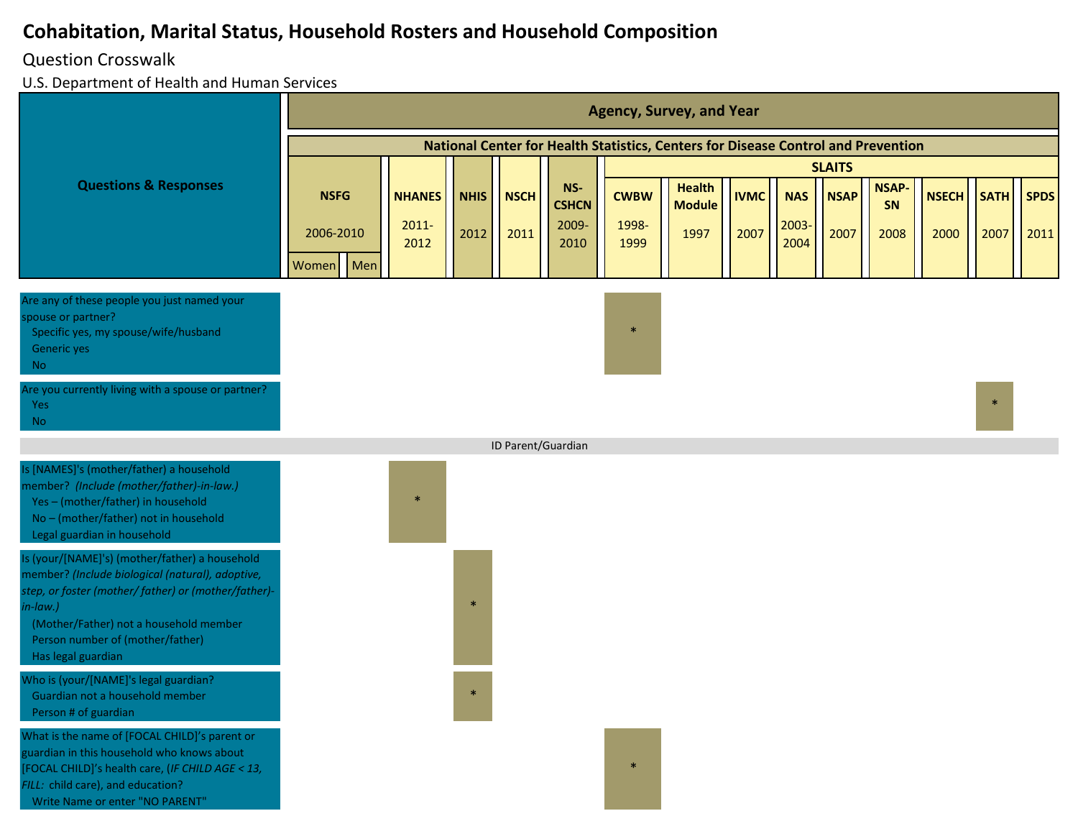#### Question Crosswalk

|                                                                                                                                                                                                                                                                            |                           |                           |             |                    |                              |                      | <b>Agency, Survey, and Year</b>                                                   |             |                     |               |                    |              |             |             |
|----------------------------------------------------------------------------------------------------------------------------------------------------------------------------------------------------------------------------------------------------------------------------|---------------------------|---------------------------|-------------|--------------------|------------------------------|----------------------|-----------------------------------------------------------------------------------|-------------|---------------------|---------------|--------------------|--------------|-------------|-------------|
|                                                                                                                                                                                                                                                                            |                           |                           |             |                    |                              |                      | National Center for Health Statistics, Centers for Disease Control and Prevention |             |                     |               |                    |              |             |             |
|                                                                                                                                                                                                                                                                            |                           |                           |             |                    |                              |                      |                                                                                   |             |                     | <b>SLAITS</b> |                    |              |             |             |
| <b>Questions &amp; Responses</b>                                                                                                                                                                                                                                           | <b>NSFG</b>               | <b>NHANES</b><br>$2011 -$ | <b>NHIS</b> | <b>NSCH</b>        | NS-<br><b>CSHCN</b><br>2009- | <b>CWBW</b><br>1998- | <b>Health</b><br><b>Module</b>                                                    | <b>IVMC</b> | <b>NAS</b><br>2003- | <b>NSAP</b>   | <b>NSAP-</b><br>SN | <b>NSECH</b> | <b>SATH</b> | <b>SPDS</b> |
|                                                                                                                                                                                                                                                                            | 2006-2010<br>Men<br>Women | 2012                      | 2012        | 2011               | 2010                         | 1999                 | 1997                                                                              | 2007        | 2004                | 2007          | 2008               | 2000         | 2007        | 2011        |
| Are any of these people you just named your<br>spouse or partner?<br>Specific yes, my spouse/wife/husband<br>Generic yes<br>No.                                                                                                                                            |                           |                           |             |                    |                              | $\ast$               |                                                                                   |             |                     |               |                    |              |             |             |
| Are you currently living with a spouse or partner?<br>Yes<br>No.                                                                                                                                                                                                           |                           |                           |             |                    |                              |                      |                                                                                   |             |                     |               |                    |              | $\ast$      |             |
|                                                                                                                                                                                                                                                                            |                           |                           |             | ID Parent/Guardian |                              |                      |                                                                                   |             |                     |               |                    |              |             |             |
| Is [NAMES]'s (mother/father) a household<br>member? (Include (mother/father)-in-law.)<br>Yes-(mother/father) in household<br>No - (mother/father) not in household<br>Legal guardian in household                                                                          |                           | $\ast$                    |             |                    |                              |                      |                                                                                   |             |                     |               |                    |              |             |             |
| Is (your/[NAME]'s) (mother/father) a household<br>member? (Include biological (natural), adoptive,<br>step, or foster (mother/ father) or (mother/father)-<br>in-law.)<br>(Mother/Father) not a household member<br>Person number of (mother/father)<br>Has legal guardian |                           |                           |             |                    |                              |                      |                                                                                   |             |                     |               |                    |              |             |             |
| Who is (your/[NAME]'s legal guardian?<br>Guardian not a household member<br>Person # of guardian                                                                                                                                                                           |                           |                           |             |                    |                              |                      |                                                                                   |             |                     |               |                    |              |             |             |
| What is the name of [FOCAL CHILD]'s parent or<br>guardian in this household who knows about<br>[FOCAL CHILD]'s health care, (IF CHILD AGE < 13,<br>FILL: child care), and education?<br>Write Name or enter "NO PARENT"                                                    |                           |                           |             |                    |                              | $\ast$               |                                                                                   |             |                     |               |                    |              |             |             |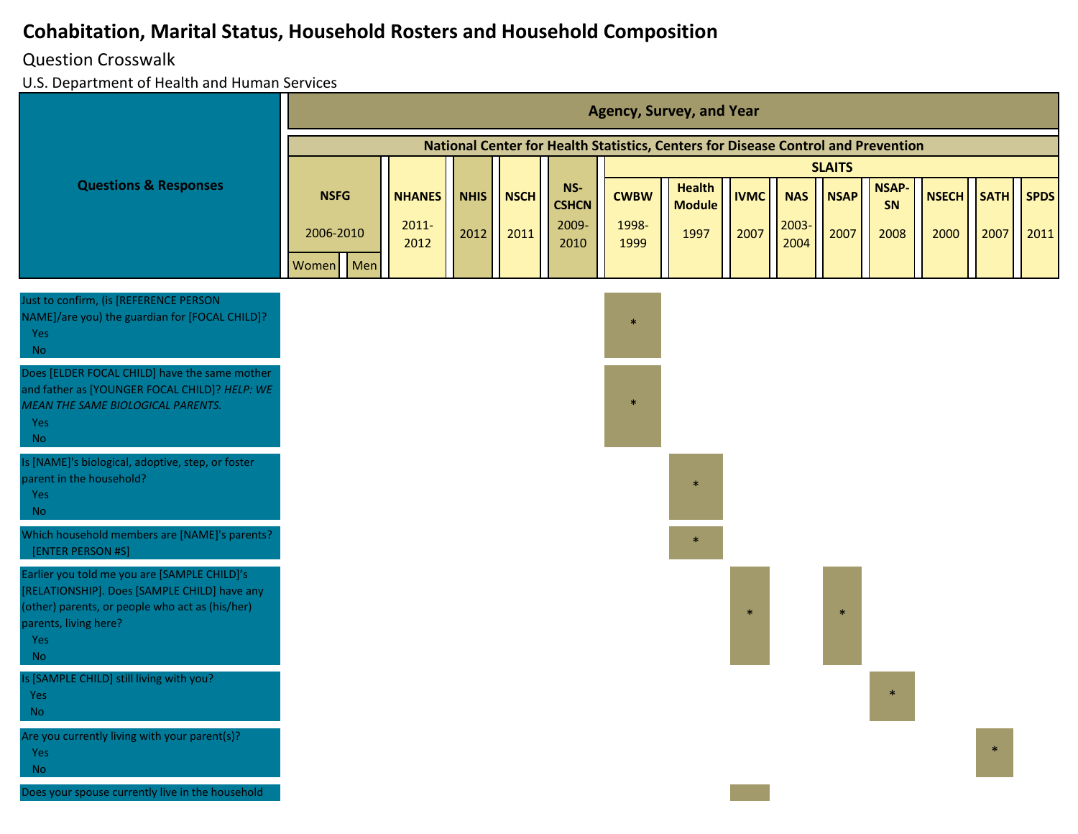#### Question Crosswalk

|                                                                                                                                                                                                     |              |               |             |             |                     |             | <b>Agency, Survey, and Year</b>                                                   |             |            |               |                    |              |             |             |
|-----------------------------------------------------------------------------------------------------------------------------------------------------------------------------------------------------|--------------|---------------|-------------|-------------|---------------------|-------------|-----------------------------------------------------------------------------------|-------------|------------|---------------|--------------------|--------------|-------------|-------------|
|                                                                                                                                                                                                     |              |               |             |             |                     |             | National Center for Health Statistics, Centers for Disease Control and Prevention |             |            |               |                    |              |             |             |
|                                                                                                                                                                                                     |              |               |             |             |                     |             |                                                                                   |             |            | <b>SLAITS</b> |                    |              |             |             |
| <b>Questions &amp; Responses</b>                                                                                                                                                                    | <b>NSFG</b>  | <b>NHANES</b> | <b>NHIS</b> | <b>NSCH</b> | NS-<br><b>CSHCN</b> | <b>CWBW</b> | <b>Health</b><br><b>Module</b>                                                    | <b>IVMC</b> | <b>NAS</b> | <b>NSAP</b>   | <b>NSAP-</b><br>SN | <b>NSECH</b> | <b>SATH</b> | <b>SPDS</b> |
|                                                                                                                                                                                                     | 2006-2010    | $2011 -$      | 2012        | 2011        | 2009-               | 1998-       | 1997                                                                              | 2007        | 2003-      | 2007          | 2008               | 2000         | 2007        | 2011        |
|                                                                                                                                                                                                     | Men<br>Women | 2012          |             |             | 2010                | 1999        |                                                                                   |             | 2004       |               |                    |              |             |             |
|                                                                                                                                                                                                     |              |               |             |             |                     |             |                                                                                   |             |            |               |                    |              |             |             |
| Just to confirm, (is [REFERENCE PERSON<br>NAME]/are you) the guardian for [FOCAL CHILD]?<br><b>Yes</b><br><b>No</b>                                                                                 |              |               |             |             |                     | $\ast$      |                                                                                   |             |            |               |                    |              |             |             |
| Does [ELDER FOCAL CHILD] have the same mother<br>and father as [YOUNGER FOCAL CHILD]? HELP: WE<br>MEAN THE SAME BIOLOGICAL PARENTS.<br><b>Yes</b><br><b>No</b>                                      |              |               |             |             |                     | $\ast$      |                                                                                   |             |            |               |                    |              |             |             |
| Is [NAME]'s biological, adoptive, step, or foster<br>parent in the household?<br><b>Yes</b><br><b>No</b>                                                                                            |              |               |             |             |                     |             | $\ast$                                                                            |             |            |               |                    |              |             |             |
| Which household members are [NAME]'s parents?<br>[ENTER PERSON #S]                                                                                                                                  |              |               |             |             |                     |             |                                                                                   |             |            |               |                    |              |             |             |
| Earlier you told me you are [SAMPLE CHILD]'s<br>[RELATIONSHIP]. Does [SAMPLE CHILD] have any<br>(other) parents, or people who act as (his/her)<br>parents, living here?<br><b>Yes</b><br><b>No</b> |              |               |             |             |                     |             |                                                                                   |             |            |               |                    |              |             |             |
| Is [SAMPLE CHILD] still living with you?<br><b>Yes</b><br>No.                                                                                                                                       |              |               |             |             |                     |             |                                                                                   |             |            |               |                    |              |             |             |
| Are you currently living with your parent(s)?<br><b>Yes</b><br><b>No</b>                                                                                                                            |              |               |             |             |                     |             |                                                                                   |             |            |               |                    |              |             |             |
| Does your spouse currently live in the household                                                                                                                                                    |              |               |             |             |                     |             |                                                                                   |             |            |               |                    |              |             |             |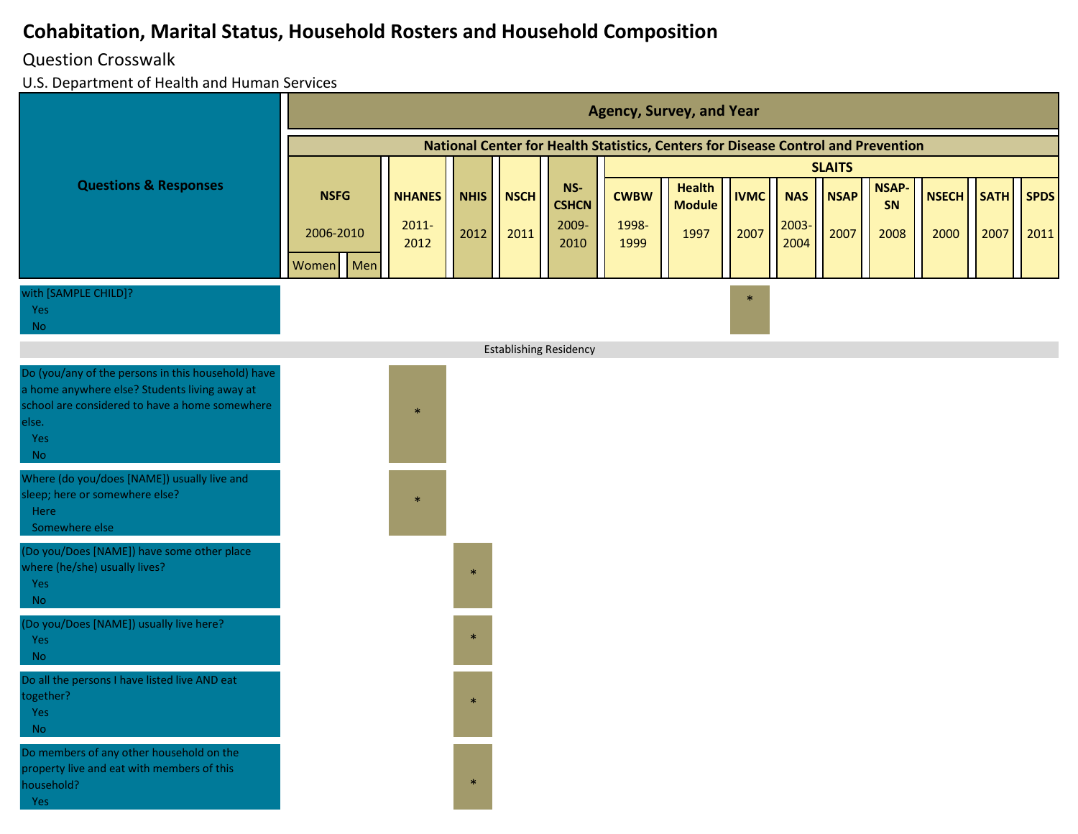#### Question Crosswalk

|                                                                                                                                                                                    | <b>Agency, Survey, and Year</b> |                           |                     |                     |                                |                      |                                                                                   |                     |                     |                     |                            |                      |                     |                     |  |  |  |
|------------------------------------------------------------------------------------------------------------------------------------------------------------------------------------|---------------------------------|---------------------------|---------------------|---------------------|--------------------------------|----------------------|-----------------------------------------------------------------------------------|---------------------|---------------------|---------------------|----------------------------|----------------------|---------------------|---------------------|--|--|--|
|                                                                                                                                                                                    |                                 |                           |                     |                     |                                |                      | National Center for Health Statistics, Centers for Disease Control and Prevention |                     |                     |                     |                            |                      |                     |                     |  |  |  |
|                                                                                                                                                                                    |                                 |                           |                     |                     |                                |                      |                                                                                   | <b>SLAITS</b>       |                     |                     |                            |                      |                     |                     |  |  |  |
| <b>Questions &amp; Responses</b>                                                                                                                                                   | <b>NSFG</b><br>2006-2010        | <b>NHANES</b><br>$2011 -$ | <b>NHIS</b><br>2012 | <b>NSCH</b><br>2011 | $NS-$<br><b>CSHCN</b><br>2009- | <b>CWBW</b><br>1998- | <b>Health</b><br><b>Module</b><br>1997                                            | <b>IVMC</b><br>2007 | <b>NAS</b><br>2003- | <b>NSAP</b><br>2007 | <b>NSAP-</b><br>SN<br>2008 | <b>NSECH</b><br>2000 | <b>SATH</b><br>2007 | <b>SPDS</b><br>2011 |  |  |  |
|                                                                                                                                                                                    | Men<br>Women                    | 2012                      |                     |                     | 2010                           | 1999                 |                                                                                   |                     | 2004                |                     |                            |                      |                     |                     |  |  |  |
| with [SAMPLE CHILD]?<br>Yes<br><b>No</b>                                                                                                                                           |                                 |                           |                     |                     |                                |                      |                                                                                   | $\ast$              |                     |                     |                            |                      |                     |                     |  |  |  |
|                                                                                                                                                                                    |                                 |                           |                     |                     | <b>Establishing Residency</b>  |                      |                                                                                   |                     |                     |                     |                            |                      |                     |                     |  |  |  |
| Do (you/any of the persons in this household) have<br>a home anywhere else? Students living away at<br>school are considered to have a home somewhere<br>else.<br>Yes<br><b>No</b> |                                 | $\ast$                    |                     |                     |                                |                      |                                                                                   |                     |                     |                     |                            |                      |                     |                     |  |  |  |
| Where (do you/does [NAME]) usually live and<br>sleep; here or somewhere else?<br>Here<br>Somewhere else                                                                            |                                 | $\ast$                    |                     |                     |                                |                      |                                                                                   |                     |                     |                     |                            |                      |                     |                     |  |  |  |
| (Do you/Does [NAME]) have some other place<br>where (he/she) usually lives?<br>Yes<br><b>No</b>                                                                                    |                                 |                           | $\ast$              |                     |                                |                      |                                                                                   |                     |                     |                     |                            |                      |                     |                     |  |  |  |
| (Do you/Does [NAME]) usually live here?<br>Yes<br><b>No</b>                                                                                                                        |                                 |                           | $\ast$              |                     |                                |                      |                                                                                   |                     |                     |                     |                            |                      |                     |                     |  |  |  |
| Do all the persons I have listed live AND eat<br>together?<br>Yes<br><b>No</b>                                                                                                     |                                 |                           |                     |                     |                                |                      |                                                                                   |                     |                     |                     |                            |                      |                     |                     |  |  |  |
| Do members of any other household on the<br>property live and eat with members of this<br>household?<br>Yes                                                                        |                                 |                           | $\ast$              |                     |                                |                      |                                                                                   |                     |                     |                     |                            |                      |                     |                     |  |  |  |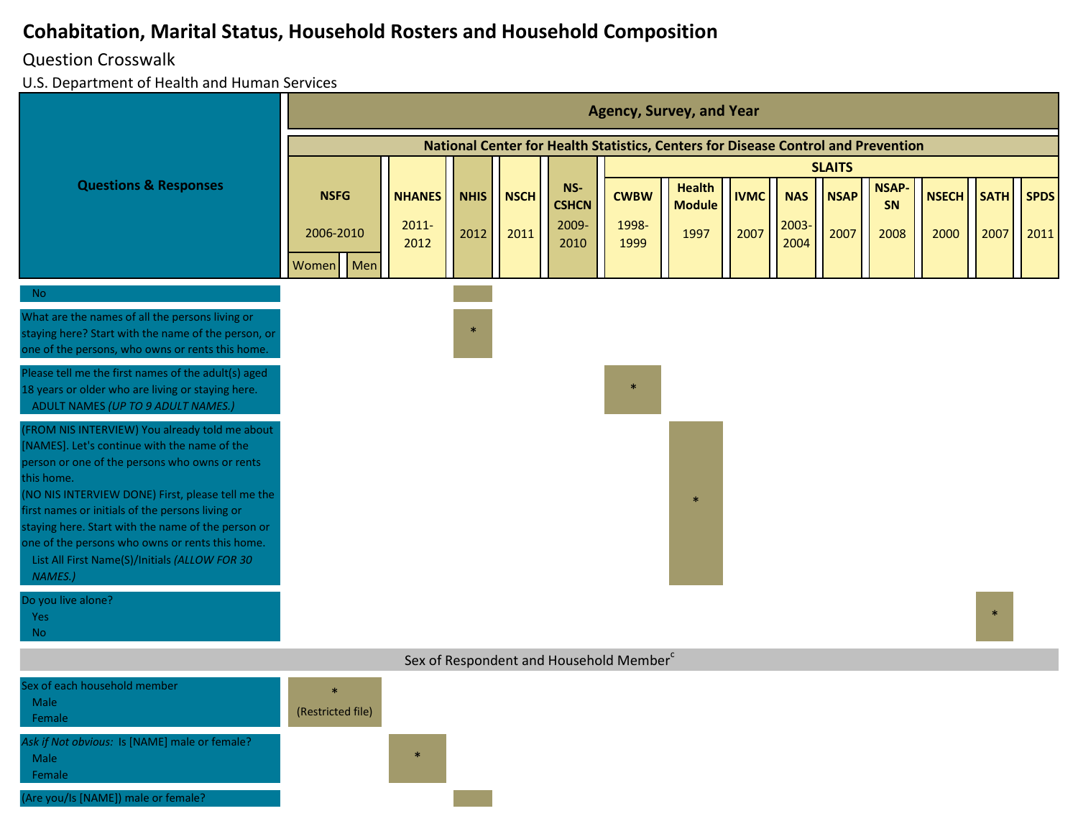#### Question Crosswalk

|                                                                                                                                                                                                                                                                                                                                                                                                                                              | <b>Agency, Survey, and Year</b>   |                                   |                     |                     |                                      |                                                     |                                                                                   |                     |                             |                     |                            |                      |                     |                     |  |  |
|----------------------------------------------------------------------------------------------------------------------------------------------------------------------------------------------------------------------------------------------------------------------------------------------------------------------------------------------------------------------------------------------------------------------------------------------|-----------------------------------|-----------------------------------|---------------------|---------------------|--------------------------------------|-----------------------------------------------------|-----------------------------------------------------------------------------------|---------------------|-----------------------------|---------------------|----------------------------|----------------------|---------------------|---------------------|--|--|
|                                                                                                                                                                                                                                                                                                                                                                                                                                              |                                   |                                   |                     |                     |                                      |                                                     | National Center for Health Statistics, Centers for Disease Control and Prevention |                     |                             |                     |                            |                      |                     |                     |  |  |
|                                                                                                                                                                                                                                                                                                                                                                                                                                              |                                   |                                   |                     |                     |                                      | <b>SLAITS</b>                                       |                                                                                   |                     |                             |                     |                            |                      |                     |                     |  |  |
| <b>Questions &amp; Responses</b>                                                                                                                                                                                                                                                                                                                                                                                                             | <b>NSFG</b><br>2006-2010          | <b>NHANES</b><br>$2011 -$<br>2012 | <b>NHIS</b><br>2012 | <b>NSCH</b><br>2011 | NS-<br><b>CSHCN</b><br>2009-<br>2010 | <b>CWBW</b><br>1998-<br>1999                        | <b>Health</b><br><b>Module</b><br>1997                                            | <b>IVMC</b><br>2007 | <b>NAS</b><br>2003-<br>2004 | <b>NSAP</b><br>2007 | <b>NSAP-</b><br>SN<br>2008 | <b>NSECH</b><br>2000 | <b>SATH</b><br>2007 | <b>SPDS</b><br>2011 |  |  |
|                                                                                                                                                                                                                                                                                                                                                                                                                                              | Men<br>Women                      |                                   |                     |                     |                                      |                                                     |                                                                                   |                     |                             |                     |                            |                      |                     |                     |  |  |
| <b>No</b>                                                                                                                                                                                                                                                                                                                                                                                                                                    |                                   |                                   |                     |                     |                                      |                                                     |                                                                                   |                     |                             |                     |                            |                      |                     |                     |  |  |
| What are the names of all the persons living or<br>staying here? Start with the name of the person, or<br>one of the persons, who owns or rents this home.                                                                                                                                                                                                                                                                                   |                                   |                                   | $\ast$              |                     |                                      |                                                     |                                                                                   |                     |                             |                     |                            |                      |                     |                     |  |  |
| Please tell me the first names of the adult(s) aged<br>18 years or older who are living or staying here.<br>ADULT NAMES (UP TO 9 ADULT NAMES.)                                                                                                                                                                                                                                                                                               |                                   |                                   |                     |                     |                                      | $\ast$                                              |                                                                                   |                     |                             |                     |                            |                      |                     |                     |  |  |
| (FROM NIS INTERVIEW) You already told me about<br>[NAMES]. Let's continue with the name of the<br>person or one of the persons who owns or rents<br>this home.<br>(NO NIS INTERVIEW DONE) First, please tell me the<br>first names or initials of the persons living or<br>staying here. Start with the name of the person or<br>one of the persons who owns or rents this home.<br>List All First Name(S)/Initials (ALLOW FOR 30<br>NAMES.) |                                   |                                   |                     |                     |                                      |                                                     |                                                                                   |                     |                             |                     |                            |                      |                     |                     |  |  |
| Do you live alone?<br><b>Yes</b><br><b>No</b>                                                                                                                                                                                                                                                                                                                                                                                                |                                   |                                   |                     |                     |                                      |                                                     |                                                                                   |                     |                             |                     |                            |                      |                     |                     |  |  |
|                                                                                                                                                                                                                                                                                                                                                                                                                                              |                                   |                                   |                     |                     |                                      | Sex of Respondent and Household Member <sup>c</sup> |                                                                                   |                     |                             |                     |                            |                      |                     |                     |  |  |
| Sex of each household member<br>Male<br>Female                                                                                                                                                                                                                                                                                                                                                                                               | $\mathbf{z}$<br>(Restricted file) |                                   |                     |                     |                                      |                                                     |                                                                                   |                     |                             |                     |                            |                      |                     |                     |  |  |
| Ask if Not obvious: Is [NAME] male or female?<br>Male<br>Female                                                                                                                                                                                                                                                                                                                                                                              |                                   | $\ast$                            |                     |                     |                                      |                                                     |                                                                                   |                     |                             |                     |                            |                      |                     |                     |  |  |
| (Are you/Is [NAME]) male or female?                                                                                                                                                                                                                                                                                                                                                                                                          |                                   |                                   |                     |                     |                                      |                                                     |                                                                                   |                     |                             |                     |                            |                      |                     |                     |  |  |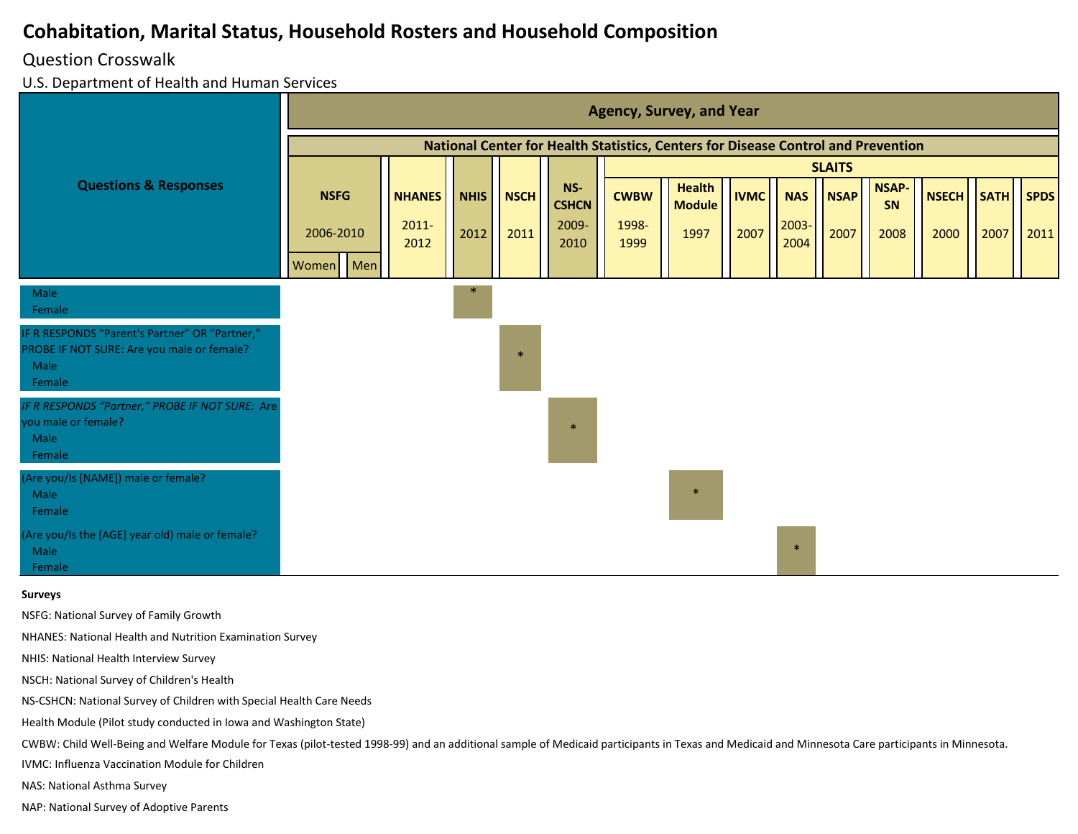#### Question Crosswalk

U.S. Department of Health and Human Services

|                                                                                                                | <b>Agency, Survey, and Year</b>                                                   |                  |             |             |                       |               |                                |             |               |               |             |              |             |             |
|----------------------------------------------------------------------------------------------------------------|-----------------------------------------------------------------------------------|------------------|-------------|-------------|-----------------------|---------------|--------------------------------|-------------|---------------|---------------|-------------|--------------|-------------|-------------|
|                                                                                                                | National Center for Health Statistics, Centers for Disease Control and Prevention |                  |             |             |                       |               |                                |             |               |               |             |              |             |             |
|                                                                                                                |                                                                                   |                  |             |             |                       |               |                                |             |               | <b>SLAITS</b> |             |              |             |             |
| <b>Questions &amp; Responses</b>                                                                               | <b>NSFG</b>                                                                       | <b>NHANES</b>    | <b>NHIS</b> | <b>NSCH</b> | $NS-$<br><b>CSHCN</b> | <b>CWBW</b>   | <b>Health</b><br><b>Module</b> | <b>IVMC</b> | <b>NAS</b>    | <b>NSAP</b>   | NSAP-<br>SN | <b>NSECH</b> | <b>SATH</b> | <b>SPDS</b> |
|                                                                                                                | 2006-2010                                                                         | $2011 -$<br>2012 | 2012        | 2011        | 2009-<br>2010         | 1998-<br>1999 | 1997                           | 2007        | 2003-<br>2004 | 2007          | 2008        | 2000         | 2007        | 2011        |
|                                                                                                                | Men<br>Women                                                                      |                  |             |             |                       |               |                                |             |               |               |             |              |             |             |
| Male<br>Female                                                                                                 |                                                                                   |                  |             |             |                       |               |                                |             |               |               |             |              |             |             |
| IF R RESPONDS "Parent's Partner" OR "Partner,"<br>PROBE IF NOT SURE: Are you male or female?<br>Male<br>Female |                                                                                   |                  |             |             |                       |               |                                |             |               |               |             |              |             |             |
| IF R RESPONDS "Partner," PROBE IF NOT SURE: Are<br>you male or female?<br>Male<br>Female                       |                                                                                   |                  |             |             | $\rightarrow$         |               |                                |             |               |               |             |              |             |             |
| (Are you/Is [NAME]) male or female?<br>Male<br>Female                                                          |                                                                                   |                  |             |             |                       |               | $\ast$                         |             |               |               |             |              |             |             |
| (Are you/Is the [AGE] year old) male or female?<br>Male<br>Female                                              |                                                                                   |                  |             |             |                       |               |                                |             | $\ast$        |               |             |              |             |             |

#### **Surveys**

NSFG: National Survey of Family Growth

NHANES: National Health and Nutrition Examination Survey

NHIS: National Health Interview Survey

NSCH: National Survey of Children's Health

NS-CSHCN: National Survey of Children with Special Health Care Needs

Health Module (Pilot study conducted in Iowa and Washington State)

CWBW: Child Well-Being and Welfare Module for Texas (pilot-tested 1998-99) and an additional sample of Medicaid participants in Texas and Medicaid and Minnesota Care participants in Minnesota.

IVMC: Influenza Vaccination Module for Children

NAS: National Asthma Survey

NAP: National Survey of Adoptive Parents